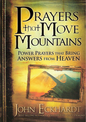## JRAYERS that MOVE MOUNTAINS **POWER PRAYERS THAT BRING ANSWERS FROM HEAVEN**

### OHN ECKHARDT **BEST-SELLING AUTHOR OF PRAYERS THAT ROUT DEMONS**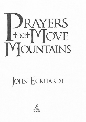

# JOHN ECKHARDT

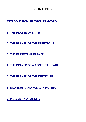#### **CONTENTS**

**[INTRODUCTION: BE THOU REMOVED!](#page-3-0)**

**[1. THE PRAYER OF FAITH](#page-9-0)**

**[2. THE PRAYER OF THE RIGHTEOUS](#page-24-0)**

**[3. THE PERSISTENT PRAYER](#page-40-0)**

**[4. THE PRAYER OF A CONTRITE HEART](#page-54-0)**

**[5. THE PRAYER OF THE DESTITUTE](#page-80-0)**

**[6. MIDNIGHT AND MIDDAY PRAYER](#page-101-0)**

**[7. PRAYER AND FASTING](#page-122-0)**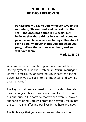#### <span id="page-3-0"></span>**INTRODUCTION BE THOU REMOVED!**

**For assuredly, I say to you, whoever says to this mountain, "Be removed and be cast into the sea," and does not doubt in his heart, but believes that those things he says will come to pass, he will have whatever he says. Therefore I say to you, whatever things you ask when you pray, believe that you receive them, and you will have them.**

**—Mark 11:23-24**

What mountain are you facing in this season of life? Unemployment? Financial problems? Difficult marriage? Illness? Foreclosure? Undefeated sin? Whatever it is, the power lies in you to speak to that mountain and say, "Be thou removed!"

The keys to deliverance, freedom, and the abundant life have been given back to us. Jesus came to return to us our authority in the earth so that we can exercise prayer and faith to bring God's will from the heavenly realm into the earth realm, affecting our lives in the here and now.

The Bible says that you can decree and declare things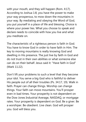with your mouth, and they will happen (Rom. 4:17). According to Joshua 1:8, you have the power to make your way prosperous, to mow down the mountains in your way. By mediating and obeying the Word of God, you put yourself in a place of life and blessing. Choice is where your power lies. What you choose to speak and declare needs to coincide with how you live and what you meditate on.

The characteristic of a righteous person is faith in God. You have to know God in order to have faith in Him. The key to moving mountains is really knowing God and dwelling in His presence. The just live by faith in God and do not trust in their own abilities or what someone else can do on their behalf. Jesus said it: "Have faith in God" (Mark 11:22).

Don't lift your problems to such a level that they become your idol. You serve a big God who is faithful to deliver His people out of all their troubles (Ps. 34:17, 19). Walk in faith. Prayer can change things. Worship can change things. Your faith can move mountains. You'll prosper even in bad times. Your prosperity is not dependent on the Dow Jones Industrial Average, NASDAQ, or mortgage rates. Your prosperity is dependent on God. Be a giver. Be a worshiper. Be obedient. Live clean. God will prosper you. God will bless you.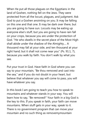When He put all those plagues on the Egyptians in the land of Goshen, nothing fell on the Jews. They were protected from all the locust, plagues, and judgment. Ask God to put a Goshen anointing on you. It may be falling on this one and that one. It may be dark over there, but you are going to have sun. Locusts may be eating up everyone else's stuff, but you are going to have rain fall on your crops, because you are under the protection of God. "He who dwells in the secret place of the Most High shall abide under the shadow of the Almighty.... A thousand may fall at your side, and ten thousand at your right hand; but it shall not come near you" (Ps. 91:1, 7), because you walk by faith. You don't walk by what you see.

Put your trust in God. Have faith in God where you can say to your mountain, "Be thou removed and cast into the sea," and if you do not doubt in your heart, but believe that whatever you say will come to pass, you will have whatever you say.

In this book I am going to teach you how to speak to mountains and whatever stands in your way. You will learn how to say, "Be removed!" Your faith in a big God is the key to this. If you speak in faith, your faith can move mountains. When stuff gets in your way, speak to it. There is no government program that can move your mountain and no such thing as removemymountain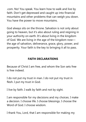.com. No! You speak. You learn how to walk and live by faith. Don't get depressed and caught up into financial mountains and other problems that can weigh you down. You have the power to move mountains.

God always sits on the throne. Salvation is not only about going to heaven, but it's also about ruling and reigning in your authority on earth. It's about living in the kingdom of God. We are living in the age of the kingdom now the age of salvation, deliverance, grace, glory, power, and prosperity. Your faith is the key to bringing it all to pass.

#### **FAITH DECLARATIONS**

Because of Christ I am free, and whom the Son sets free is free indeed.

I do not put my trust in man. I do not put my trust in flesh. I put my trust in God.

I live by faith. I walk by faith and not by sight.

I am responsible for my decisions and my choices. I make a decision. I choose life. I choose blessings. I choose the Word of God. I choose wisdom.

I thank You, Lord, that I am responsible for making my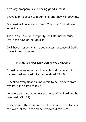own way prosperous and having good success.

I have faith to speak to mountains, and they will obey me.

My heart will never depart from You, Lord. I will always serve God.

Thank You, Lord, for prosperity. I will flourish because I live in the days of the Messiah.

I will have prosperity and good success because of God's grace, in Jesus's name.

#### **PRAYERS THAT DEMOLISH MOUNTAINS**

I speak to every mountain in my life and command it to be removed and cast into the sea (Mark 11:23).

I speak to every financial mountain to be removed from my life in the name of Jesus.

Let every evil mountain hear the voice of the Lord and be removed (Mic. 6:2).

I prophesy to the mountains and command them to hear the Word of the Lord and be removed (Ezek. 36:4).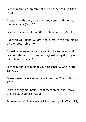Let the mountains tremble at the presence of God (Hab. 3:10).

I contend with every mountain and command them to hear my voice (Mic. 6:1).

Lay the mountain of Esau (the flesh) to waste (Mal. 1:3).

Put forth Your hand, O Lord, and overturn the mountains by the roots (Job 28:9).

I speak to every mountain of debt to be removed and cast into the sea. Lord, You are against every destroying mountain (Jer. 51:25).

Let the mountains melt at Your presence, O God (Judg. 5:5, KJV).

Make waste the evil mountains in my life, O Lord (Isa. 42:15).

I thresh every mountain, I beat them small, and I make the hills as chaff (Isa. 41:15).

Every mountain in my way will become a plain (Zech. 4:7).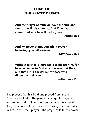#### <span id="page-9-0"></span>**CHAPTER 1 THE PRAYER OF FAITH**

**And the prayer of faith will save the sick, and the Lord will raise him up. And if he has committed sins, he will be forgiven.**

**—James 5:15**

**And whatever things you ask in prayer, believing, you will receive.**

**—Matthew 21:22**

**Without faith it is impossible to please Him, for he who comes to God must believe that He is, and that He is a rewarder of those who diligently seek Him.**

**—Hebrews 11:6**

The prayer of faith is bold and prayed from a sure foundation of faith. The person praying this prayer is assured of God's will for the situation or issue at hand. They are confident and hopeful, knowing that it is God's will to answer their prayer. "The prayer of faith has power.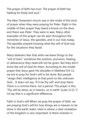The prayer of faith has trust. The prayer of faith has healing for body and soul."

The New Testament church was in the midst of this kind of prayer when they were praying for Peter. Right in the middle of their prayer they heard a knock on the door, and there was Peter. They were in awe. Many other examples of this prayer can be seen throughout the ministries of Jesus, the apostles, and in our lives today. The apostles prayed knowing what the will of God was for the situations they faced.

Many believers fear that when we leave things to the "will of God," somehow the solution, provision, healing, or deliverance they need will not be given. But they don't know the will of God for them. According to the model prayer that Jesus gave His disciples in Matthew 6:9-11, we are to pray for God's will to be done. But people "resign their intelligence at that point to the unknown God.... It does not say, 'If it be thy will' and stop there. There is a comma there, not a period. The prayer is this, 'Thy will be done, as in heaven, so in earth' (Luke 11:2)."2 I'd say that is a significant difference.

Faith in God's will When we pray the prayer of faith, we are praying God's will for how things are in heaven to be done in the earth realm. Here is where a clear revelation of the kingdom is very important. Is there sickness in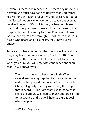heaven? Is there lack in heaven? Are there any unsaved in heaven? We must have faith to believe that God wants His will for our health, prosperity, and full salvation to be manifested not only when we go to heaven but even as we dwell on earth. It's for His glory. When people see that God's people have His ear and He is answering their prayers, that is a testimony for Him. People are drawn to God when they can see through His witnesses that He is a God who hears, and if He hears, they know He will answer.

Jesus said, "I have come that they may have life, and that they may have it more abundantly" (John 10:10). You have to gain the assurance that is God's will for you, so when you pray, you will pray with confidence and faith that He will answer you.

> The Lord wants us to have more faith. When several are praying together for the same petition and one has prayed the prayer of faith, the Holy Ghost will glorify Jesus by witnessing the prayer that is heard The Lord wants us to know that He has heard us. We need to thank and praise Him for answering and that will help us a great deal when we pray.

—William Seymour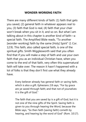#### **WONDER-WORKING FAITH**

There are many different kinds of faith: (1) faith that gets you saved, (2) general faith in whatever appears real to you, (3) faith that God is real, (4) faith that your chair won't break when you sit in it, and so on. But what I am talking about in this chapter is another kind of faith—a special faith. The Amplified Bible reads, "To another [wonder-working] faith by the same [Holy] Spirit" (1 Cor. 12:9). This faith, also called special faith, is one of the spiritual gifts. Smith Wigglesworth said that you often find that if you will make a step of faith and use your own faith that you as an individual Christian have, when you come to the end of that faith, very often this supernatural faith will take over. The reason it hasn't happened with a lot of folks is that they don't first use what they already have.

> Every believer already has general faith or saving faith, which is also a gift. Ephesians 2:8 says, "For by grace are ye saved through faith; and that not of yourselves: it is the gift of God."

The faith that you are saved by is a gift of God, but it is not one of the nine gifts of the Spirit. Saving faith is given to you through hearing the Word, because the Bible says, "So then faith [saving faith] cometh by hearing, and hearing by the word of God" (Rom. 10:17).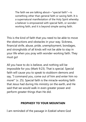The faith we are talking about—"special faith"—is something other than general faith or saving faith. It is a supernatural manifestation of the Holy Spirit whereby a believer is empowered with special faith, or wonderworking faith, and it is beyond simple saving faith.

This is the kind of faith that you need to be able to move the obstructions and obstacles in your way. Sickness, financial strife, abuse, pride, unemployment, bondages, and strongholds of all kinds will not be able to stay in your life when you pray with wonder-working faith. They must go!

All you have to do is believe, and nothing will be impossible for you (Mark 9:23). That is special. Special faith will cause you to speak to stubborn demons and say, "I command you, come out of him and enter him no more!" (v. 25). Special faith is the miracle-working faith that Jesus had during His ministry on the earth, and He said that we would walk in even greater power and perform greater things than He did.

#### **PROPHESY TO YOUR MOUNTAIN**

I am reminded of the passage in Ezekiel where God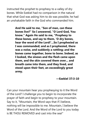instructed the prophet to prophesy to a valley of dry bones. While Ezekiel had no comparison in the natural that what God was asking him to do was possible, he had an unshakable faith in the God who commanded him.

> **And He said to me, "Son of man, can these bones live?" So I answered, "O Lord God, You know." Again He said to me, "Prophesy to these bones, and say to them, 'O dry bones, hear the word of the Lord!'...So I prophesied as I was commanded; and as I prophesied, there was a noise, and suddenly a rattling; and the bones came together, bone to bone. Indeed, as I looked, the sinews and the flesh came upon them, and the skin covered them over... and breath came into them, and they lived, and stood upon their feet, an exceedingly great army.**

#### **—Ezekiel 37:3-10**

Can your mountain hear you prophesying to it the Word of the Lord? I challenge you to begin to incorporate the prayer of faith and begin to prophesy to your mountain. Say to it, "Mountain, the Word says that if I believe, nothing will be impossible to me. Mountain, I believe the Word of the Lord. And the Word of the Lord to you today is BE THOU REMOVED and cast into the sea!"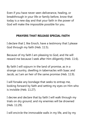Even if you have never seen deliverance, healing, or breakthrough in your life or family before, know that today is a new day and that your faith in the power of God will make the impossible possible for you.

#### **PRAYERS THAT RELEASE SPECIAL FAITH**

I declare that I, like Enoch, have a testimony that I please God through my faith (Heb. 11:5).

Because of my faith I am pleasing to God, and He will reward me because I seek after Him diligently (Heb. 11:6).

By faith I will sojourn in the land of promise, as in a strange country, dwelling in tabernacles with Isaac and Jacob, as I am an heir of the same promise (Heb. 11:9).

I will forsake any bondage that seeks to entrap me, looking forward by faith and setting my eyes on Him who is invisible (Heb. 11:27).

I decree and declare that by faith I will walk through my trials on dry ground, and my enemies will be drowned (Heb. 11:29).

I will encircle the immovable walls in my life, and by my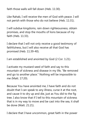faith those walls will fall down (Heb. 11:30).

Like Rahab, I will receive the men of God with peace. I will not perish with those who do not believe (Heb. 11:31).

I will subdue kingdoms, rain down righteousness, obtain promises, and stop the mouths of lions because of my faith (Heb. 11:33).

I declare that I will not only receive a good testimony of faithfulness, but I will also receive all that God has promised (Heb. 11:39-40).

I am established and anointed by God (2 Cor. 1:21).

I activate my mustard seed of faith and say to this mountain of sickness and disease in my life, "Be removed and go to another place." Nothing will be impossible to me (Matt. 17:20).

Because You have anointed me, I have faith and do not doubt that I can speak to any illness, curse it at the root, and cause it to dry up and die, just as You did to the fig tree. I also know that if I tell to this mountain of sickness that is in my way to move and be cast into the sea, it shall be done (Matt. 21:21).

I declare that I have uncommon, great faith in the power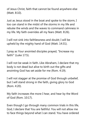of Jesus Christ, faith that cannot be found anywhere else (Matt. 8:10).

Just as Jesus stood in the boat and spoke to the storm, I too can stand in the midst of the storms in my life and rebuke the winds and the waves to command calmness in my life. My faith overrides all my fears (Matt. 8:26).

I will not sink into faithlessness and doubt; I will be upheld by the mighty hand of God (Matt. 14:31).

I pray as Your anointed disciples prayed, "Increase my faith!" (Luke 17:5).

I will not be weak in faith. Like Abraham, I declare that my body is not dead but alive to birth out the gifts and anointing God has set aside for me (Rom. 4:19).

I will not stagger at the promise of God through unbelief, but I will stand strong in the faith, giving glory to God (Rom. 4:20).

My faith increases the more I hear, and hear by the Word of God (Rom. 10:17).

Even though I go through many common trials in this life, God, I declare that You are faithful. You will not allow me to face things beyond what I can stand. You have ordered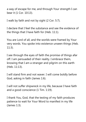a way of escape for me, and through Your strength I can bear it (1 Cor. 10:13).

I walk by faith and not by sight (2 Cor. 5:7).

I declare that I feel the substance and see the evidence of the things that I have faith for (Heb. 11:1).

You are Lord of all, and the worlds were framed by Your very words. You spoke into existence unseen things (Heb. 11:3).

I see through the eyes of faith the promise of things afar off. I am persuaded of their reality. I embrace them, knowing that I am a stranger and pilgrim on this earth (Heb. 11:13).

I will stand firm and not waver. I will come boldly before God, asking in faith (James 1:6).

I will not suffer shipwreck in my life, because I have faith and a good conscience (1 Tim. 1:19).

I thank You, God, that the testing of my faith produces patience to wait for Your Word to manifest in my life (James 1:3).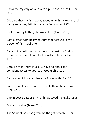I hold the mystery of faith with a pure conscience (1 Tim. 3:9).

I declare that my faith works together with my works, and by my works my faith is made perfect (James 2:22).

I will show my faith by the works I do (James 2:18).

I am blessed with believing Abraham because I am a person of faith (Gal. 3:9).

By faith the walls built up around the territory God has promised to me will fall like the walls of Jericho (Heb. 11:30).

Because of my faith in Jesus I have boldness and confident access to approach God (Eph. 3:12).

I am a son of Abraham because I have faith (Gal. 3:7).

I am a son of God because I have faith in Christ Jesus (Gal. 3:26).

I go in peace because my faith has saved me (Luke 7:50).

My faith is alive (James 2:17).

The Spirit of God has given me the gift of faith (1 Cor.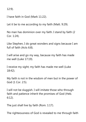12:9).

I have faith in God (Mark 11:22).

Let it be to me according to my faith (Matt. 9:29).

No man has dominion over my faith. I stand by faith (2 Cor. 1:24).

Like Stephen, I do great wonders and signs because I am full of faith (Acts 6:8).

I will arise and go my way, because my faith has made me well (Luke 17:19).

I receive my sight; my faith has made me well (Luke 18:42).

My faith is not in the wisdom of men but in the power of God (1 Cor. 2:5).

I will not be sluggish. I will imitate those who through faith and patience inherit the promises of God (Heb. 6:12).

The just shall live by faith (Rom. 1:17).

The righteousness of God is revealed to me through faith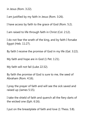in Jesus (Rom. 3:22).

I am justified by my faith in Jesus (Rom. 3:26).

I have access by faith to the grace of God (Rom. 5:2).

I am raised to life through faith in Christ (Col. 2:12).

I do not fear the wrath of the king, and by faith I forsake Egypt (Heb. 11:27).

By faith I receive the promise of God in my life (Gal. 3:22).

My faith and hope are in God (1 Pet. 1:21).

My faith will not fail (Luke 22:32).

By faith the promise of God is sure to me, the seed of Abraham (Rom. 4:16).

I pray the prayer of faith and will see the sick saved and raised up (James 5:15).

I take the shield of faith and quench all the fiery darts of the wicked one (Eph. 6:16).

I put on the breastplate of faith and love (1 Thess. 5:8).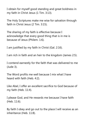I obtain for myself good standing and great boldness in my faith in Christ Jesus (1 Tim. 3:13).

The Holy Scriptures make me wise for salvation through faith in Christ Jesus (2 Tim. 3:15).

The sharing of my faith is effective because I acknowledge that every good thing that is in me is because of Jesus (Philem. 1:6).

I am justified by my faith in Christ (Gal. 2:16).

I am rich in faith and an heir to the kingdom (James 2:5).

I contend earnestly for the faith that was delivered to me (Jude 3).

The Word profits me well because I mix what I have heard with faith (Heb. 4:2).

Like Abel, I offer an excellent sacrifice to God because of my faith (Heb. 11:4).

I please God, and He rewards me because I have faith (Heb. 11:6).

By faith I obey and go out to the place I will receive as an inheritance (Heb. 11:8).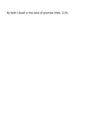By faith I dwell in the land of promise (Heb. 11:9).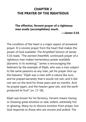#### <span id="page-24-0"></span>**CHAPTER 2 THE PRAYER OF THE RIGHTEOUS**

#### **The effective, fervent prayer of a righteous man avails [accomplishes] much.**

**—James 5:16**

The condition of the heart is a major aspect of answered prayer. It is sincere prayer from the heart that makes the power of God available. The Amplified Version of James 5:16 reads, "The earnest (heartfelt, continued) prayer of a righteous man makes tremendous power available [dynamic in its working]." James is encouraging the believers by the example of Elijah, who was a man subject to the same passions as any man, yet his prayer shut up the heavens: "Elijah was a man with a nature like ours, and he prayed earnestly that it would not rain; and it did not rain on the land for three years and six months. And he prayed again, and the heaven gave rain, and the earth produced its fruit" (vv. 17-18).

Elijah was known for his fervency. Fervent means having or showing great emotion or zeal, ardent, extremely hot or glowing. Many try to divorce emotion from prayer, but God responds to those who are sincere and ardent. The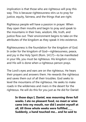implication is that those who are righteous will pray this way. This is because righteousness stirs us to pray for justice, equity, fairness, and the things that are right.

Righteous people will have a passion in prayer. When they open their mouths and begin to pray and speak to the mountains in their lives, wisdom, life, truth, and justice flow out. Their environment begins to take on the attributes of the kingdom as they speak it into existence.

Righteousness is the foundation for the kingdom of God. In order for the kingdom of God—righteousness, peace, and joy in the Holy Spirit (Rom. 14:17)—to be manifested in your life, you must be righteous. His kingdom comes and His will is done when a righteous person prays.

The Lord's eyes and ears are on the righteous. He hears their prayers and answers them. He rewards the righteous and saves them out of all their troubles. God seeks to level the mountains of the righteous. He seeks to make roads in the wilderness and rivers in the desert for the righteous. He will do this for you just as He did for Daniel:

> **In those days I, Daniel, was mourning three full weeks. I ate no pleasant food, no meat or wine came into my mouth, nor did I anoint myself at all, till three whole weeks were fulfilled\_\_\_\_ Suddenly, a hand touched me... and he said to**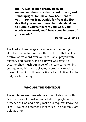**me, "O Daniel, man greatly beloved, understand the words that I speak to you, and stand upright, for I have now been sent to you\_\_\_\_Do not fear, Daniel, for from the first day that you set your heart to understand, and to humble yourself before your God, your words were heard; and I have come because of your words."**

**—Daniel 10:2, 10-12**

The Lord will send angelic reinforcement to help you stand and be victorious over the evil forces that seek to destroy God's Word over your life. Daniel prayed with fervency and passion, and his prayer was effective—it accomplished much! An angel of the Lord came to him, strengthened him, and delivered a prophetic word so powerful that it is still being activated and fulfilled for the body of Christ today.

#### **WHO ARE THE RIGHTEOUS?**

The righteous are those who are in right standing with God. Because of Christ we can all stand upright in the presence of God and boldly make our requests known to Him—if we have accepted His sacrifice. The righteous are bold as a lion.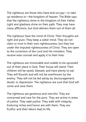The righteous are those who have and occupy—or take up residence in—the kingdom of heaven. The Bible says that the righteous shine in the kingdom of their Father. Light and gladness shine on their path. They may have many afflictions, but God delivers them out of them all.

The righteous have the mind of Christ. Their thoughts are right and pure. They keep a sober mind. They do not claim or trust in their own righteousness, but they live under the imputed righteousness of Christ. They are open to the correction of the Lord and His ministers. They receive wise counsel and apply it to their lives.

The righteous are immovable and unable to be uprooted out of their place in God. Their house will stand. Their children will be saved, blessed, and have plenty to eat. They will flourish and will not be overthrown by the enemy. They will not be led astray by discouragement, doubt, or depression. The righteous are sure that God will come and save them.

The righteous are generous and merciful. They are concerned and care for the poor. They are active in areas of justice. They seek justice. They walk with integrity. Enduring riches and honor are with them. They are fruitful, and their labors lead to life.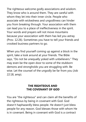The righteous welcome godly associations and wisdom. They know who is around them. They are careful with whom they let into their inner circle. People who associate with wickedness and ungodliness can hinder you from breaking through. Your association with them can lead you to a place of ineffectiveness in the spirit. Your words and prayers will not move mountains because your association with them has led you astray (Prov. 12:26). Sometimes you have to tell your friends and crooked business partners to go.

When you find yourself coming up against a block in the spirit, take a look around at your friends. The Bible says, "Do not be unequally yoked with unbelievers." They may even be the open door to some of the stubborn demons and strongholds you are struggling with. Be wise. Let the counsel of the ungodly be far from you (Job 22:18, amp).

#### **THE RIGHTEOUS AND THE COVENANT OF GOD**

You are "the righteous" and can claim all the benefits of the righteous by being in covenant with God. God doesn't haphazardly bless people. He doesn't just bless people for any reason. God blesses those with whom He is in covenant. Being in covenant with God is a contract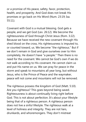or a promise of His peace, safety, favor, protection, health, and prosperity. And God does not break His promises or go back on His Word (Num. 23:19; Isa. 55:11).

Covenant with God is a mutual blessing. God gets a people, and we get God (Lev. 26:12). We become the righteousness of God through Christ Jesus (Rom. 3:22). Because we have received the new covenant through His shed blood on the cross, His righteousness is imputed to, or counted toward, us. We become "the righteous." But if we don't remain in God and give ourselves over to Him completely, He doesn't have "a people." Then there is no need for the covenant. We cannot be God's own if we do not walk according to His covenant. He cannot claim us and put His name on us. We can pray for peace in the storm and speak to mountains all year long, but without Jesus, who is the Prince of Peace and the waymaker, peace will not come and mountains will not be removed.

The righteous possess the kingdom of God (Matt. 5:10). Are you righteous? This goes beyond being saved. Righteousness is about continually living right before God. This is not about perfection. It's about your lifestyle being that of a righteous person. A righteous person does not live a sinful lifestyle. The righteous walk at a level of holiness and integrity. They are not liars, drunkards, and whoremongers. They don't mistreat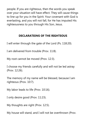people. If you are righteous, then the words you speak over your situation will have effect. They will cause things to line up for you in the Spirit. Your covenant with God is everlasting, and you will not fall, for He has imputed His righteousness to you through His Son, Jesus.

#### **DECLARATIONS OF THE RIGHTEOUS**

I will enter through the gate of the Lord (Ps. 118:20).

I am delivered from trouble (Prov. 11:8).

My root cannot be moved (Prov. 12:3).

I choose my friends carefully and will not be led astray (Prov. 12:26).

The memory of my name will be blessed, because I am righteous (Prov. 10:7).

My labor leads to life (Prov. 10:16).

I only desire good (Prov. 11:23).

My thoughts are right (Prov. 12:5).

My house will stand, and I will not be overthrown (Prov.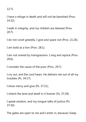12:7).

I have a refuge in death and will not be banished (Prov. 14:32).

I walk in integrity, and my children are blessed (Prov. 20:7).

I do not covet greedily. I give and spare not (Prov. 21:26).

I am bold as a lion (Prov. 28:1).

I am not snared by transgression. I sing and rejoice (Prov. 29:6).

I consider the cause of the poor (Prov. 29:7).

I cry out, and the Lord hears. He delivers me out of all my troubles (Ps. 34:17).

I show mercy and give (Ps. 37:21).

I inherit the land and dwell in it forever (Ps. 37:29).

I speak wisdom, and my tongue talks of justice (Ps. 37:30).

The gates are open to me and I enter in, because I keep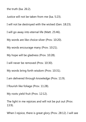the truth (Isa. 26:2).

Justice will not be taken from me (Isa. 5:23).

I will not be destroyed with the wicked (Gen. 18:23).

I will go away into eternal life (Matt. 25:46).

My words are like choice silver (Prov. 10:20).

My words encourage many (Prov. 10:21).

My hope will be gladness (Prov. 10:28).

I will never be removed (Prov. 10:30).

My words bring forth wisdom (Prov. 10:31).

I am delivered through knowledge (Prov. 11:9).

I flourish like foliage (Prov. 11:28).

My roots yield fruit (Prov. 12:12).

The light in me rejoices and will not be put out (Prov. 13:9).

When I rejoice, there is great glory (Prov. 28:12). I will see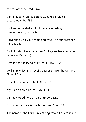the fall of the wicked (Prov. 29:16).

I am glad and rejoice before God. Yes, I rejoice exceedingly (Ps. 68:3).

I will never be shaken. I will be in everlasting remembrance (Ps. 112:6).

I give thanks to Your name and dwell in Your presence (Ps. 140:13).

I will flourish like a palm tree. I will grow like a cedar in Lebanon (Ps. 92:12).

I eat to the satisfying of my soul (Prov. 13:25).

I will surely live and not sin, because I take the warning (Ezek. 3:21).

I speak what is acceptable (Prov. 10:32).

My fruit is a tree of life (Prov. 11:30).

I am rewarded here on earth (Prov. 11:31).

In my house there is much treasure (Prov. 15:6).

The name of the Lord is my strong tower. I run to it and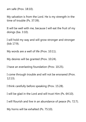am safe (Prov. 18:10).

My salvation is from the Lord. He is my strength in the time of trouble (Ps. 37:39).

It will be well with me, because I will eat the fruit of my doings (Isa. 3:10).

I will hold my way and will grow stronger and stronger (lob 17:9).

My words are a well of life (Prov. 10:11).

My desires will be granted (Prov. 10:24).

I have an everlasting foundation (Prov. 10:25).

I come through trouble and will not be ensnared (Prov. 12:13).

I think carefully before speaking (Prov. 15:28).

I will be glad in the Lord and will trust Him (Ps. 64:10).

I will flourish and live in an abundance of peace (Ps. 72:7).

My horns will be exhalted (Ps. 75:10).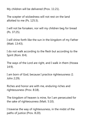My children will be delivered (Prov. 11:21).

The scepter of wickedness will not rest on the land allotted to me (Ps. 125:3).

I will not be forsaken, nor will my children beg for bread (Ps. 37:25).

I will shine forth like the sun in the kingdom of my Father (Matt. 13:43).

I do not walk according to the flesh but according to the Spirit (Rom. 8:4).

The ways of the Lord are right, and I walk in them (Hosea 14:9).

I am born of God, because I practice righteousness (1 John 2:29).

Riches and honor are with me, enduring riches and righteousness (Prov. 8:18).

The kingdom of heaven is mine, for I am persecuted for the sake of righteousness (Matt. 5:10).

I traverse the way of righteousness, in the midst of the paths of justice (Prov. 8:20).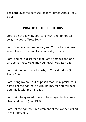The Lord loves me because I follow righteousness (Prov. 15:9).

# **PRAYERS OF THE RIGHTEOUS**

Lord, do not allow my soul to famish, and do not cast away my desire (Prov. 10:3).

Lord, I cast my burden on You, and You will sustain me. You will not permit me to be moved (Ps. 55:22).

Lord, You have discerned that I am righteous and one who serves You. Make me Your jewel (Mal. 3:17-18).

Lord, let me be counted worthy of Your kingdom (2 Thess. 1:5).

Lord, bring my soul out of prison that I may praise Your name. Let the righteous surround me, for You will deal bountifully with me (Ps. 142:7).

Lord, let it be granted to me to be arrayed in fine linen, clean and bright (Rev. 19:8).

Lord, let the righteous requirement of the law be fulfilled in me (Rom. 8:4).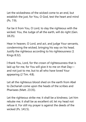Let the wickedness of the wicked come to an end, but establish the just, for You, O God, test the heart and mind (Ps. 7:9).

Far be it from You, O Lord, to slay the righteous with the wicked. You, the Judge of all the earth, will do right (Gen. 18:25).

Hear in heaven, O Lord, and act, and judge Your servants, condemning the wicked, bringing his way on his head. Justify the righteous according to his righteousness (1 Kings 8:32).

I thank You, Lord, for the crown of righteousness that is laid up for me, for You will give it to me on that Day and not just to me, but to all who have loved Your appearing (2 Tim. 4:8).

Let all the righteous blood shed on the earth from Abel to Zechariah come upon the heads of the scribes and Pharisees (Matt. 23:35).

Let the righteous strike me; it shall be a kindness. Let him rebuke me; it shall be as excellent oil; let my head not refuse it. For still my prayer is against the deeds of the wicked (Ps. 141:5).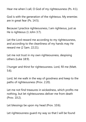Hear me when I call, O God of my righteousness (Ps. 4:1).

God is with the generation of the righteous. My enemies are in great fear (Ps. 14:5).

Because I practice righteousness, I am righteous, just as He is righteous (1 John 3:7).

Let the Lord reward me according to my righteousness, and according to the cleanliness of my hands may He reward me (2 Sam. 22:21).

Let me not trust in my own righteousness, despising others (Luke 18:9).

I hunger and thirst for righteousness. Lord, fill me (Matt. 5:6).

Lord, let me walk in the way of goodness and keep to the paths of righteousness (Prov. 2:20).

Let me not find treasures in wickedness, which profits me nothing, but let righteousness deliver me from death (Prov. 10:2).

Let blessings be upon my head (Prov. 10:6).

Let righteousness guard my way so that I will be found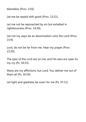blameless (Prov. 13:6).

Let me be repaid with good (Prov. 13:21).

Let me not be reproached by sin but exhalted in righteousness (Prov. 14:34).

Let not my ways be an abomination unto the Lord (Prov. 15:9).

Lord, do not be far from me. Hear my prayer (Prov. 15:29).

The eyes of the Lord are on me, and His ears are open to my cry (Ps. 34:15).

Many are my afflictions, but Lord, You deliver me out of them all (Ps. 34:19).

Let light and gladness be sown for me (Ps. 97:11).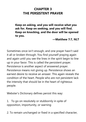# **CHAPTER 3 THE PERSISTENT PRAVER**

**Keep on asking, and you will receive what you ask for. Keep on seeking, and you will find. Keep on knocking, and the door will be opened to you.**

**—Matthew 7:7, NLT**

Sometimes once isn't enough, and one prayer hasn't said it all or broken through. You find yourself praying again and again until you see the lines in the spirit begin to line up in your favor. This is called the persistent prayer. Persistence is another aspect of answered prayer. Persistence means not giving up. Persistence shows an earnest desire to receive an answer. This again reveals the condition of the heart. People who are not persistent lack the intensity that should be in the heart of righteous people.

Webster's Dictionary defines persist this way:

1. To go on resolutely or stubbornly in spite of opposition, importunity, or warning

2. To remain unchanged or fixed in a specified character,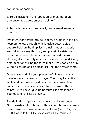condition, or position

3. To be insistent in the repetition or pressing of an utterance (as a question or an opinion)

4. To continue to exist especially past a usual, expected, or normal time

Synonyms for persist include to carry on, dig in, hang on, keep up, follow through with, knuckle down, abide, endure, hold on, hold up, last, remain, linger, stay, stick around, tarry, carry through, and prevail. Persistence reveals an earnest desire to receive. Earnest means showing deep sincerity or seriousness, determined. Godly determination will be the force that drives people to pray without ceasing and be steadfast until the answer comes.

Does this sound like your prayer life? I know of many believers who get weary in prayer. They pray for a little while and get discouraged because the answer didn't come. The enemy never ceases to make war with the saints. He will never give up because His time is short. You must never cease praying.

The definition of persist also mirrors godly attributes. God persists and continues with us in our humanity. Jesus never ceases to make intercession for us (Isa. 53:12; Rom. 8:34). God is faithful. He sticks with us. He carries us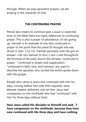through. When we pray persistent prayers, we are praying in the character of God.

## **THE CONTINUING PRAYER**

Persist also means to continue past a usual or expected time. In the Bible there are many references to continuing prayer. This is also a prayer of persistence, of not giving up. Hannah is an example of one who continued in prayer to the point that the priest Eli thought she was drunk (1 Sam. 1:12-13). Hannah persisted until she got an answer—her son Samuel. In Acts 1 and 2 and throughout the forming of the early church the phrases "continued in prayer," "continued in prayer and supplication," "continued in faith, love, and holiness" are used to describe the apostles, who turned the world upside down with the gospel.

People who came to Jesus and continued with Him for days, coming before Him with their requests, were blessed, healed, delivered, and set free. Jesus had compassion on the multitude who had "continued" with Him for three days without food:

**Now Jesus called His disciples to Himself and said, "I have compassion on the multitude, because they have now continued with Me three days and have nothing**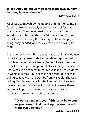### **to eat. And I do not want to send them away hungry, lest they faint on the way"**

#### **—Matthew 15:32**

Jesus was so moved by the people's hunger for spiritual food that He miraculously provided physical food for their bodies. They were seeking the things of the kingdom, and Jesus added the "all these things." Their persistence in seeking the Savior gave them the physical things they needed, and they weren't even praying for food.

In the verses before this creative miracle a Gentile woman came begging Jesus to deliver her demon-possessed daughter. Jesus did not answer her right away, but she persisted, even past the point of His seeming rudeness. She went even deeper with her request and bowed down in worship before Him. She was not giving up. She was willing to take even the crumbs from His table. She was willing, like the woman with the issue of blood, to just have a fragment of His healing virtue. She knew there was miracle power even in the leftovers of Jesus's presence. Jesus was amazed by her faith:

> **"O woman, great is your faith! Let it be to you as you desire." And her daughter was healed from that very hour.**

> > **—Matthew 15:28**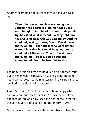Another example of persistence is found in Luke 18:35- 40:

> **Then it happened, as He was coming near Jericho, that a certain blind man sat by the road begging. And hearing a multitude passing by, he asked what it meant. So they told him that Jesus of Nazareth was passing by. And he cried out, saying, "Jesus, Son of David, have mercy on me!" Then those who went before warned him that he should be quiet; but he cried out all the more, "Son of David, have mercy on me!" So Jesus stood still and commanded him to be brought to Him.**

The people told this man to be quiet, don't bother Jesus. But this man was desperate. He was insistent on being heard so that Jesus could minister to him. His persistence resulted in his sight being restored.

James 5:11 says, "Behold, we count them happy which endure [continue, press, persist]. Ye have heard of the patience of Job, and have seen the end of the Lord; that the Lord is very pitiful, and of tender mercy" (KJV).

Some believers feel that we should not have to beg God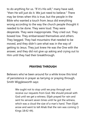to do anything for us. "If it's His will," many have said, "then He will just do it. We just need to believe." There may be times when this is true, but the people in the Bible who wanted a touch from Jesus did everything wrong according to the way the church people thought it needed to be done. They were loud. They were desperate. They were inappropriate. They cried out. They bowed low. They embarrassed themselves and others. They begged. They had mountains that needed to be moved, and they didn't care what was in the way of getting to Jesus. They just knew He was the One with the answer, and they did not give up asking and crying out to Him until they had their breakthrough.

## **PRAYING THROUGH**

Believers who've been around for a while know this kind of persistence in prayer as tarrying or praying through. Smith Wigglesworth says:

> We ought not to stop until we pray through and receive our requests from God. We should prevail with God until we get a witness. Elijah prayed for rain and sent his servant seven times until he got the witness, which was a cloud the size of a man's hand. Then Elijah arose and went to tell Ahab that the rain was coming (1 Kings 18:42-44).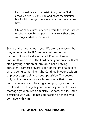Paul prayed thrice for a certain thing before God answered him (2 Cor. 12:8). God heard the first time, but Paul did not get the answer until he prayed three times.

Oh, we should press or claim before the throne until we receive witness by the power of the Holy Ghost. God will do just what He promises.

Some of the mountains in your life are so stubborn that they require you to PUSH—pray until something happens. Do not be discouraged. Press in. Remain. Endure. Hold on. Last. The Lord hears your prayers. Don't stop praying. Your breakthrough is near. Praying consistent, earnest prayers is part of the life of a believer who is doing something right. Continue in your position of prayer despite all apparent opposition. The enemy is only on the heels of those who recognize their strength and potential in God. Never give up praying about that lost loved one, that job, your finances, your health, your marriage, your church or ministry... Whatever it is, God is persisting with you. He has compassion on those who continue with Him.

## **PERSISTENT, EARNEST PRAYERS**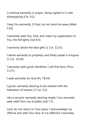I continue earnestly in prayer, being vigilant in it with thanksgiving (Col. 4:2).

I beg You earnestly, O God, do not send me away (Mark 5:10).

I earnestly seek You, God, and make my supplication to You, the Almighty (Job 8:5).

I earnestly desire the best gifts (1 Cor. 12:31).

I desire earnestly to prophesy and freely speak in tongues (1 Cor. 14:39).

I earnestly seek good; therefore, I will find favor (Prov. 11:27).

I seek earnestly for God (Ps. 78:34).

I groan, earnestly desiring to be clothed with the habitation of heaven (2 Cor. 5:2).

Like a servant, earnestly desiring shade, I too earnestly seek relief from my troubles (Job 7:2).

Lord, do not return to Your place. I acknowledge my offense and seek Your face. In my affliction I earnestly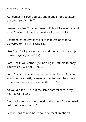seek You (Hosea 5:15).

As I earnestly serve God day and night, I hope to attain the promise (Acts 26:7).

I earnestly obey Your commands, O Lord, to love You and serve You with all my heart and soul (Deut. 11:13).

I contend earnestly for the faith that was once for all delivered to the saints (Jude 3).

Like Elijah I will pray earnestly, and the rain will be subject to my prayers (James 5:17).

Lord, I hear You earnestly exhorting my fathers to obey Your voice. I will obey (Jer. 11:7).

Lord, I pray that as You earnestly remembered Ephraim, You would earnestly remember me. Let Your heart yearn for me and have mercy on me (Jer. 31:20).

As You did for Titus, put the same earnest care in my heart (2 Cor. 8:16).

I must give more earnest heed to the things I have heard, lest I drift away (Heb. 2:1).

Let the sons of God be revealed to meet creation's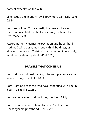earnest expectation (Rom. 8:19).

Like Jesus, I am in agony. I will pray more earnestly (Luke 22:44).

Lord Jesus, I beg You earnestly to come and lay Your hands on my child that he (or she) may be healed and live (Mark 5:23).

According to my earnest expectation and hope that in nothing I will be ashamed, but with all boldness, as always, so now also Christ will be magnified in my body, whether by life or by death (Phil. 1:20).

#### **PRAYERS THAT CONTINUE**

Lord, let my continual coming into Your presence cause You to avenge me (Luke 18:5).

Lord, I am one of those who have continued with You in Your trials (Luke 22:28).

Let brotherly love continue in my life (Heb. 13:1).

Lord, because You continue forever, You have an unchangeable priesthood (Heb. 7:24).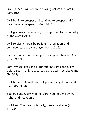Like Hannah, I will continue praying before the Lord (1 Sam. 1:12).

I will begin to prosper and continue to prosper until I become very prosperous (Gen. 26:13).

I will give myself continually to prayer and to the ministry of the word (Acts 6:4).

I will rejoice in hope, be patient in tribulation, and continue steadfastly in prayer (Rom. 12:12).

I am continually in the temple praising and blessing God (Luke 24:53).

Lord, my sacrifices and burnt offerings are continually before You. Thank You, Lord, that You will not rebuke me (Ps. 50:8).

I will hope continually and will praise You yet more and more (Ps. 71:14).

You are continually with me, Lord. You hold me by my right hand (Ps. 73:23).

I will keep Your law continually, forever and ever (Ps. 119:44).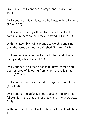Like Daniel, I will continue in prayer and service (Dan. 1:21).

I will continue in faith, love, and holiness, with self-control (1 Tim. 2:15).

I will take heed to myself and to the doctrine. I will continue in them so that I may be saved (1 Tim. 4:16).

With the assembly I will continue to worship and sing until the burnt offerings are finished (2 Chron. 29:28).

I will wait on God continually. I will return and observe mercy and justice (Hosea 12:6).

I will continue in all the things that I have learned and been assured of, knowing from whom I have learned them (2 Tim. 3:14).

I will continue with one accord in prayer and supplication (Acts 1:14).

I will continue steadfastly in the apostles' doctrine and fellowship, in the breaking of bread, and in prayers (Acts 2:42).

With purpose of heart I will continue with the Lord (Acts 11:23).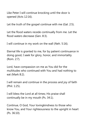Like Peter I will continue knocking until the door is opened (Acts 12:16).

Let the truth of the gospel continue with me (Gal. 2:5).

Let the flood waters recede continually from me. Let the flood waters decrease (Gen. 8:3).

I will continue in my work on the wall (Neh. 5:16).

Eternal life is granted to me, for by patient continuance in doing good, I seek for glory, honor, and immortality (Rom. 2:7).

Lord, have compassion on me as You did for the multitudes who continued with You and had nothing to eat (Mark 8:2).

I will remain and continue in the process and joy of faith (Phil. 1:25).

I will bless the Lord at all times; His praise shall continually be in my mouth (Ps. 34:1).

Continue, O God, Your lovingkindness to those who know You, and Your righteousness to the upright in heart (Ps. 36:10).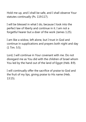Hold me up, and I shall be safe, and I shall observe Your statutes continually (Ps. 119:117).

I will be blessed in what I do, because I look into the perfect law of liberty and continue in it. I am not a forgetful hearer but a doer of the work (James 1:25).

I am like a widow, left alone, but I trust in God and continue in supplications and prayers both night and day (1 Tim. 5:5).

Lord, I will continue in Your covenant with me. Do not disregard me as You did with the children of Israel whom You led by the hand out of the land of Egypt (Heb. 8:9).

I will continually offer the sacrifice of praise to God and the fruit of my lips, giving praise to His name (Heb. 13:15).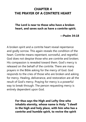# **CHAPTER 4 THE PRAYER OF A CONTRITE HEART**

**The Lord is near to those who have a broken heart, and saves such as have a contrite spirit.**

**—Psalm 34:18**

A broken spirit and a contrite heart reveal repentance and godly sorrow. This again reveals the condition of the heart. Contrite means repentant, sorrowful, and regretful. God does not despise those who are contrite and broken; His compassion is revealed toward them. God's mercy is released on the behalf of the contrite. There are many prayers in the Bible asking for the mercy of God. God responds to the cries of those who are broken and asking for mercy. Healing, deliverance, and restoration are all the result of God's mercy. Praying for mercy is a powerful way to break through. The person requesting mercy is entirely dependent upon God.

> **For thus says the High and Lofty One who inhabits eternity, whose name is Holy: "I dwell in the high and holy place, with him who has a contrite and humble spirit, to revive the spirit**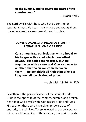**of the humble, and to revive the heart of the contrite ones."** 

 **—Isaiah 57:15**

The Lord dwells with those who have a contrite or repentant heart. He hears their prayers and grants them grace because they are sorrowful and humble.

## **COMING AGAINST A PRIDEFUL SPIRIT— LEVIATHAN, KING OF PRIDE**

**Canst thou draw out leviathan with a hook? or his tongue with a cord which thou lettest down?... His scales are his pride, shut up together as with a close seal. One is so near to another, that no air can come between them\_\_\_\_He beholdeth all high things: he is a king over all the children of pride.**

**—Job 41:1, 15-16, 34, KJV**

Leviathan is the personification of the spirit of pride. Pride is the opposite of the contrite, humble, and broken heart that God dwells with. God resists pride and turns His back on those who have given pride a place of authority in their lives. Those involved in the deliverance ministry will be familiar with Leviathan, the spirit of pride.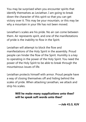You may be surprised when you encounter spirits that identify themselves as Leviathan. I am going to break down the character of this spirit so that you can get victory over it. This may be your mountain, or this may be why a mountain in your life has not been moved.

Leviathan's scales are his pride. No air can come between them. Air represents spirit, and one of the manifestations of pride is the inability to flow in the Spirit.

Leviathan will attempt to block the flow and manifestations of the Holy Spirit in the assembly. Proud people can hinder the flow of the Spirit. Humility is a key to operating in the power of the Holy Spirit. You need the power of the Holy Spirit to be able to break through the mountainous issues of life.

Leviathan protects himself with armor. Proud people have a way of closing themselves off and hiding behind the scales of pride. When attacking Leviathan, we attack and strip his scales.

# **Will he make many supplications unto thee? will he speak soft words unto thee?**

**—Job 41:3, KJV**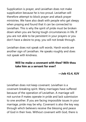Supplication is prayer, and Leviathan does not make supplication because he is too proud. Leviathan will therefore attempt to block prayer and attack prayer ministries. We have also dealt with people who get sleepy when praying and found that it can be connected to Leviathan. This is why the spirit of pride must be broken down when you are facing tough circumstances in life. If you are not able to be persistent in your prayers or you don't have a desire to pray, you will not break through.

Leviathan does not speak soft words. Harsh words are another sign of Leviathan. He speaks roughly and does not speak with kindness.

## **Will he make a covenant with thee? Wilt thou take him as a servant for ever?**

**—Job 41:4, KJV**

Leviathan does not keep covenant. Leviathan is a covenant-breaking spirit. Many marriages have suffered because of the operation of Leviathan. A marriage will not survive if mates operate in pride and lack submission to one another. If you are facing impossible issues in your marriage, pride may be why. Covenant is also the key way through which believers receive the blessing and peace of God in their lives. Without covenant with God, there is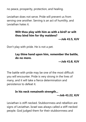no peace, prosperity, protection, and healing.

Leviathan does not serve. Pride will prevent us from serving one another. Serving is an act of humility, and Leviathan hates it.

#### **Wilt thou play with him as with a bird? or wilt thou bind him for thy maidens?**

**—Job 41:5, KJV**

Don't play with pride. He is not a pet.

### **Lay thine hand upon him, remember the battle, do no more.**

**—Job 41:8, KJV**

The battle with pride may be one of the most difficult you will encounter. Pride is very strong in the lives of many, and it will take a fierce determination and persistence to defeat it.

# **In his neck remaineth strength... —Job 41:22, KJV**

Leviathan is stiff-necked. Stubbornness and rebellion are signs of Leviathan. Israel was always called a stiff-necked people. God judged them for their stubbornness and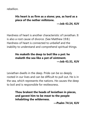rebellion.

## **His heart is as firm as a stone; yea, as hard as a piece of the nether millstone.**

**—Job 41:24, KJV**

Hardness of heart is another characteristic of Leviathan. It is also a root cause of divorce. (See Matthew 19:8.) Hardness of heart is connected to unbelief and the inability to understand and comprehend spiritual things.

# **He maketh the deep to boil like a pot: he maketh the sea like a pot of ointment. —Job 41:31, KJV**

Leviathan dwells in the deep. Pride can be so deeply rooted in our lives and can be difficult to pull out. He is in the sea, which represents the nations. He causes the deep to boil and is responsible for restlessness.

> **Thou brakest the heads of leviathan in pieces, and gavest him to be meat to the people inhabiting the wilderness.**

> > **—Psalm 74:14, KJV**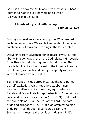God has the power to smite and break Leviathan's head (authority). God is our King working salvation (deliverance) in the earth.

## **I humbled my soul with fasting... —Psalm 35:13, KJV**

Fasting is a great weapon against pride. When we fast, we humble our souls. We will talk more about the power combination of prayer and fasting in the last chapter.

Deliverance from Leviathan brings peace, favor, joy, and liberty. Pharaoh was a leviathan. God released His people from Pharaoh's grip through terrible judgments. The people left Egypt and journeyed to the Promised Land, a land flowing with milk and honey. Prosperity will come with deliverance from Leviathan

Spirits of pride include arrogance, haughtiness, puffed up, self-exaltation, vanity, rebellion, stubbornness, scorning, defiance, anti-submissive, ego, perfection, Rahab, and Orion. Pride brings destruction. Pride brings a curse and causes a person to err (Ps. 119:21). God resists the proud (James 4:6). The fear of the Lord is to hate pride and arrogance (Prov. 8:13). God attempts to hide pride from man through dreams (Job 33:14-17). Sometimes sickness is the result of pride (vv. 17-26).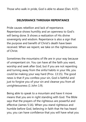Those who walk in pride, God is able to abase (Dan. 4:37).

#### **DELIVERANCE THROUGH REPENTANCE**

Pride causes rebellion and lack of repentance. Repentance shows humility and an openness to God's will being done. It shows a realization of His divine sovereignty and wisdom. Repentance is also a sign that the purpose and benefit of Christ's death have been received. When we repent, we take on the righteousness of Christ.

Sometimes the mountains of life are in your way because of unrepentant sin. You can have all the faith you want, worship and seek after God, but if you are not repenting and turning away from the sinful habits in your life, you could be making your way hard (Prov. 13:15). The good news is that if you confess your sin, God is faithful and just to forgive you of your sin and cleanse you from all unrighteousness (1 John 1:9).

Being able to speak to a mountain and have it move means that you are in right standing with God. The Bible says that the prayers of the righteous are powerful and effective (James 5:16). When you stand righteous and humble before God, believing in faith that He has heard you, you can have confidence that you will have what you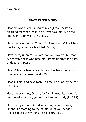have prayed.

#### **PRAYERS FOR MERCY**

Hear me when I call, O God of my righteousness: You enlarged me when I was in distress; have mercy on me, and hear my prayer (Ps. 4:1, KJV).

Have mercy upon me, O Lord; for I am weak: O Lord, heal me; for my bones are troubled (Ps. 6:2).

Have mercy upon me, O Lord; consider my trouble that I suffer from those who hate me. Lift me up from the gates of death (Ps. 9:13).

Hear, O Lord, when I cry with my voice: have mercy also upon me, and answer me (Ps. 27:7).

Hear, O Lord, and have mercy on me: Lord, be my helper (Ps. 30:10).

Have mercy on me, O Lord, for I am in trouble: my eye is consumed with grief, yes, my soul and my body (Ps. 31:9).

Have mercy on me, O God, according to Your lovingkindness: according to the multitude of Your tender mercies blot out my transgressions (Ps. 51:1).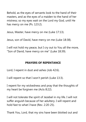Behold, as the eyes of servants look to the hand of their masters, and as the eyes of a maiden to the hand of her mistress; so my eyes wait on the Lord my God, until He has mercy on me (Ps. 123:2).

Jesus, Master, have mercy on me (Luke 17:13).

Jesus, son of David, have mercy on me (Luke 18:38).

I will not hold my peace, but I cry out to You all the more, "Son of David, have mercy on me" (Luke 18:39).

## **PRAYERS OF REPENTANCE**

Lord, I repent in dust and ashes (Job 42:6).

I will repent so that I won't perish (Luke 13:3).

I repent for my wickedness and pray that the thoughts of my heart be forgiven me (Acts 8:22).

I will not tolerate the spirit of Jezebel in my life. I will not suffer anguish because of her adultery. I will repent and hold fast to what I have (Rev. 2:20-25).

Thank You, Lord, that my sins have been blotted out and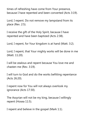times of refreshing have come from Your presence, because I have repented and been converted (Acts 3:19).

Lord, I repent. Do not remove my lampstand from its place (Rev. 2:5).

I receive the gift of the Holy Spirit, because I have repented and have been baptized (Acts 2:38).

Lord, I repent, for Your kingdom is at hand (Matt. 3:2).

Lord, I repent, that Your mighty works will be done in me (Matt. 11:20).

I will be zealous and repent because You love me and chasten me (Rev. 3:19).

I will turn to God and do the works befitting repentance (Acts 26:20).

I repent now for You will not always overlook my ignorance (Acts 17:30).

The Assyrian will not be my king, because I willingly repent (Hosea 11:5).

I repent and believe in the gospel (Mark 1:1).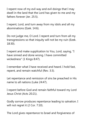I repent now of my evil way and evil doings that I may dwell in the land that the Lord has given to me and my fathers forever (Jer. 25:5).

I repent, Lord, and turn away from my idols and all my abominations (Ezek. 14:6).

Do not judge me, O Lord. I repent and turn from all my transgressions so that iniquity will not be my ruin (Ezek. 18:30).

I repent and make supplication to You, Lord, saying, "I have sinned and done wrong. I have committed wickedness" (1 Kings 8:47).

I remember what I have received and heard. I hold fast, repent, and remain watchful (Rev. 3:3).

Let repentance and remission of sins be preached in His name to all nations (Luke 24:47).

I repent before God and remain faithful toward my Lord Jesus Christ (Acts 20:21).

Godly sorrow produces repentance leading to salvation. I will not regret it (2 Cor. 7:10).

The Lord gives repentance to Israel and forgiveness of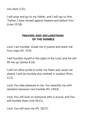sins (Acts 5:31).

I will arise and go to my Father, and I will say to Him, "Father, I have sinned against heaven and before You" (Luke 15:18).

## **PRAYERS AND DECLARATIONS OF THE HUMBLE**

Lord, I am humble. Guide me in justice and teach me Your ways (Ps. 25:9).

I will humble myself in the sight of the Lord, and He will lift me up (James 4:10).

I will not allow pride to enter my heart and cause me shame. I will be humble and clothed in wisdom (Prov. 11:2).

Lord, You take pleasure in me. You beautify me with salvation because I am humble (Ps. 149:4).

Lord, You will look on everyone who is proud, and You will humble them (Job 40:11).

Lord, You will save me (Ps. 18:27).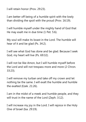I will retain honor (Prov. 29:23).

I am better off being of a humble spirit with the lowly than dividing the spoil with the proud (Prov. 16:19).

I will humble myself under the mighty hand of God that He may exalt me in due time (1 Pet. 5:6).

My soul will make its boast in the Lord. The humble will hear of it and be glad (Ps. 34:2).

I will see what God has done and be glad. Because I seek God, my heart will live (Ps. 69:32).

I will not be like Amon, but I will humble myself before the Lord and will not trespass more and more (2 Chron. 33:23).

I will remove my turban and take off my crown and let nothing be the same. I will exalt the humble and humble the exalted (Ezek. 21:26).

I am in the midst of a meek and humble people, and they will trust in the name of the Lord (Zeph. 3:12).

I will increase my joy in the Lord. I will rejoice in the Holy One of Israel (Isa. 29:19).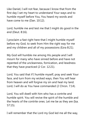Like Daniel, I will not fear, because I know that from the first day I set my heart to understand Your ways and to humble myself before You, You heard my words and have come to me (Dan. 10:12).

Lord, humble me and test me that I might do good in the end (Deut. 8:16).

I proclaim a fast right here that I might humble myself before my God, to seek from Him the right way for me and my children and all of my possessions (Ezra 8:21).

My God will humble me among His people and I will mourn for many who have sinned before and have not repented of the uncleanness, fornication, and lewdness that they have practiced (2 Cor. 12:21).

Lord, You said that if I humble myself, pray and seek Your face, and turn from my wicked ways, then You will hear from heaven and will forgive my sin and heal my land. Lord, I will do as You have commanded (2 Chron. 7:14).

Lord, You will dwell with him who has a contrite and humble spirit. You will revive the spirit of the humble and the hearts of the contrite ones. Let me be as they are (Isa. 57:15).

I will remember that the Lord my God led me all the way,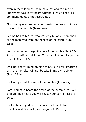even in the wilderness, to humble me and test me, to know what was in my heart, whether I would keep His commandments or not (Deut. 8:2).

God, You give more grace. You resist the proud but give grace to the humble (James 4:6).

Let me be like Moses, who was very humble, more than all the men who were on the face of the earth (Num. 12:3).

Lord, You do not forget the cry of the humble (Ps. 9:12). Arise, O Lord! O God, lift up Your hand! Do not forget the humble (Ps. 10:12).

I will not set my mind on high things, but I will associate with the humble. I will not be wise in my own opinion (Rom. 12:16).

I will not pervert the way of the humble (Amos 2:7).

Lord, You have heard the desire of the humble; You will prepare their heart; You will cause Your ear to hear (Ps. 10:17).

I will submit myself to my elders. I will be clothed in humility, and God will give me grace (1 Pet. 5:5).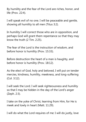By humility and the fear of the Lord are riches, honor, and life (Prov. 22:4).

I will speak evil of no one. I will be peaceable and gentle, showing all humility to all men (Titus 3:2).

In humility I will correct those who are in opposition, and perhaps God will grant them repentance so that they may know the truth (2 Tim. 2:25).

The fear of the Lord is the instruction of wisdom, and before honor is humility (Prov. 15:33).

Before destruction the heart of a man is haughty, and before honor is humility (Prov. 18:12).

As the elect of God, holy and beloved, I will put on tender mercies, kindness, humility, meekness, and long-suffering (Col. 3:12).

I will seek the Lord. I will seek righteousness and humility so that I may be hidden in the day of the Lord's anger (Zeph. 2:3).

I take on the yoke of Christ, learning from Him, for He is meek and lowly in heart (Matt. 11:29).

I will do what the Lord requires of me: I will do justly, love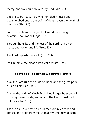mercy, and walk humbly with my God (Mic. 6:8).

I desire to be like Christ, who humbled Himself and became obedient to the point of death, even the death of the cross (Phil. 2:8).

Lord, I have humbled myself; please do not bring calamity upon me (1 Kings 21:29).

Through humility and the fear of the Lord I am given riches and honor and life (Prov. 22:4).

The Lord regards the lowly (Ps. 138:6).

I will humble myself as a little child (Matt. 18:4).

#### **PRAYERS THAT BREAK A PRIDEFUL SPIRIT**

May the Lord ruin the pride of Judah and the great pride of Jerusalem (Jer. 13:9).

I break the pride of Moab. It shall no longer be proud of its haughtiness, pride, and wrath. The lies it speaks will not be so (Isa. 16:6).

Thank You, Lord, that You turn me from my deeds and conceal my pride from me so that my soul may be kept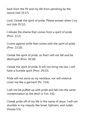back from the Pit and my life from perishing by the sword (Job 33:17).

Lord, I break the spirit of pride. Please answer when I cry out (Job 35:12).

I rebuke the shame that comes from a spirit of pride (Prov. 11:2).

I come against strife that comes with the spirit of pride (Prov. 13:10).

I break the spirit of pride, so that I will not fall and be destroyed (Prov. 16:18).

I break the spirit of pride. It will not bring me low. I will have a humble spirit (Prov. 29:23).

Pride will not serve as my necklace, nor will violence cover me like a garment (Ps. 73:6).

I will not be puffed up with pride and fall into the same condemnation as the devil (1 Tim. 3:6).

I break pride off of my life in the name of Jesus. I will not stumble in my iniquity like Israel, Ephraim, and Judah (Hosea 5:5).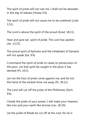The spirit of pride will not rule me. I shall not be desolate in the day of rebuke (Hosea 5:9).

The spirit of pride will not cause me to be scattered (Luke 1:51).

The Lord is above the spirit of the proud (Exod. 18:11).

Hear and give ear, spirit of pride. The Lord has spoken (Jer. 13:15).

The proud spirit of Ephraim and the inhabitant of Samaria will not speak (Isa. 9:9).

I command the spirit of pride to cease its persecution of the poor. Let that spirit be caught in the plots it has devised (Ps. 10:2).

Let not the foot of pride come against me, and let not the hand of the wicked drive me away (Ps. 36:11).

The Lord will cut off the pride of the Philistines (Zech. 9:6).

I break the pride of your power; I will make your heavens like iron and your earth like bronze (Lev. 26:19).

Let the pride of Moab be cut off at the root, for he is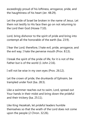exceedingly proud of his loftiness, arrogance, pride, and the haughtiness of his heart (Jer. 48:29).

Let the pride of Israel be broken in the name of Jesus. Let them not testify to His face then go on not returning to the Lord their God (Hosea 7:10).

Lord, bring dishonor to the spirit of pride and bring into contempt all the honorable of the earth (Isa. 23:9).

I fear the Lord; therefore, I hate evil, pride, arrogance, and the evil way. I hate the perverse mouth (Prov. 8:13).

I break the spirit of the pride of life, for it is not of the Father but is of the world (1 John 2:16).

I will not be wise in my own eyes (Prov. 26:12).

Let the crown of pride, the drunkards of Ephraim, be trampled under foot (Isa. 28:3).

Like a swimmer reaches out to swim, Lord, spread out Your hands in their midst and bring down the prideful and their trickery (Isa. 25:11).

Like King Hezekiah, let prideful leaders humble themselves so that the wrath of the Lord does not come upon the people (2 Chron. 32:26).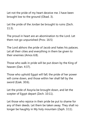Let not the pride of my heart deceive me. I have been brought low to the ground (Obad. 3).

Let the pride of the Jordan be brought to ruins (Zech. 11:3).

The proud in heart are an abomination to the Lord. Let them not go unpunished (Prov. 16:5)

The Lord abhors the pride of Jacob and hates his palaces. Let all their cities and everything in them be given to their enemies (Amos 6:8).

Those who walk in pride will be put down by the King of heaven (Dan. 4:37).

Those who uphold Egypt will fall; the pride of her power will come down, and those within her shall fall by the sword (Ezek. 30:6).

Let the pride of Assyria be brought down, and let the scepter of Egypt depart (Zech. 10:11).

Let those who rejoice in their pride be put to shame for any of their deeds. Let them be taken away. They shall no longer be haughty in My holy mountain (Zeph. 3:11).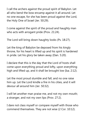I call the archers against the proud spirit of Babylon. Let all who bend the bow encamp against it all around. Let no one escape, for she has been proud against the Lord, the Holy One of Israel (Jer. 50:29).

I come against the spirit of the proud and haughty man who acts with arrogant pride (Prov. 21:24).

The Lord will bring down haughty looks (Ps. 18:27).

Let the king of Babylon be deposed from his kingly throne, for his heart is lifted up and his spirit is hardened in pride. Let his glory be taken away (Dan. 5:20).

I declare that this is the day that the Lord of hosts shall come upon everything proud and lofty, upon everything high and lifted up, and it shall be brought low (Isa. 2:12).

Let the most proud stumble and fall, and no one raise him up. Let the Lord kindle a fire in his cities, and it will devour all around him (Jer. 50:32).

I will let another man praise me, and not my own mouth; a stranger, and not my own lips (Prov. 27:2).

I dare not class myself or compare myself with those who commend themselves. They are not wise (2 Cor. 10:12).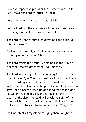I do not respect the proud or those who turn aside to lies. I make the Lord my trust (Ps. 40:4).

Lord, my heart is not haughty (Ps. 131:1).

Let the Lord halt the arrogance of the proud and lay low the haughtiness of the terrible (Isa. 13:11).

The Lord will not endure a haughty look and a proud heart (Ps. 101:5).

I will not talk proudly and will let no arrogance come from my mouth (1 Sam. 2:3).

The Lord resists the proud. Let me be like the humble one who receives grace from God (James 4:6).

The Lord will rise up a foreign army against the pride of the prince of Tyre. The most terrible of nations will draw their sword against the beauty of his wisdom. The Lord will defile the splendor of the proud spirit of the prince of Tyre, for his heart is lifted up declaring that he is a god. He will throw him in a pit, and he shall die the death of the slain. The Lord will break the spirit of the prince of Tyre, and he will no longer call himself a god, but a man, for he will die an outcast (Ezek. 28:2, 7-8).

I will not think of myself more highly than I ought to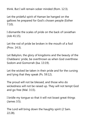think. But I will remain sober minded (Rom. 12:3).

Let the prideful spirit of Haman be hanged on the gallows he prepared for God's chosen people (Esther 7:10).

I dismantle the scales of pride on the back of Leviathan (Job 41:15).

Let the rod of pride be broken in the mouth of a fool (Prov. 14:3).

Let Babylon, the glory of kingdoms and the beauty of the Chaldeans' pride, be overthrown as when God overthrew Sodom and Gomorrah (Isa. 13:19).

Let the wicked be taken in their pride and for the cursing and lying that they speak (Ps. 59:12).

The proud will not be blessed, and those who do wickedness will not be raised up. They will not tempt God and go free (Mal. 3:15).

I bridle my tongue so that it will not boast great things (James 3:5).

The Lord will bring down the haughty spirit (2 Sam. 22:28).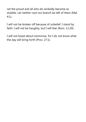Let the proud and all who do wickedly become as stubble. Let neither root nor branch be left of them (Mal. 4:1).

I will not be broken off because of unbelief. I stand by faith. I will not be haughty, but I will fear (Rom. 11:20).

I will not boast about tomorrow, for I do not know what the day will bring forth (Prov. 27:1).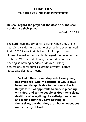# **CHAPTER 5 THE PRAYER OF THE DESTITUTE**

**He shall regard the prayer of the destitute, and shall not despise their prayer.**

**—Psalm 102:17**

The Lord hears the cry of His children when they are in need. It is His desire that none of us be in lack or in need. Psalm 102:17 says that He hears, looks upon, turns Himself toward, or holds in high regard the prayer of the destitute. Webster's dictionary defines destitute as "lacking something needed or desired; lacking possessions or resources; extreme poverty." Barnes' Notes says destitute means:

> **..."naked;" then, poor, stripped of everything, impoverished, wholly destitute. It would thus be eminently applicable to the poor exiles in Babylon; it is as applicable to sinners pleading with God, and to the people of God themselves, destitute of everything like self-righteousness, and feeling that they have nothing in themselves, but that they are wholly dependent on the mercy of God.**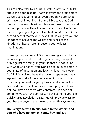This can also refer to a spiritual state. Matthew 5:3 talks about the poor in spirit. That was every one of us before we were saved. Some of us, even though we are saved, still have lack in our lives. But the Bible says that God hears our prayers. He will not leave us naked, hungry, and without provision. He is the waymaker. It is in His Father nature to give good gifts to His children (Matt. 7:11). The second part of Matthew 5:3 says that He will give you the kingdom of heaven! The wealth and riches of the kingdom of heaven are far beyond your wildest imaginations.

Knowing the promises of God concerning you and your situation, you need to be strengthened in your spirit to pray against the things in your life that are not in line with what God has for you. Don't be so quick to settle in your state of destitution and lack, thinking this is your "lot" in life. No! You have the power to speak and pray against the work of the enemy when it comes to the provision you need for your physical and spiritual life. God said that He will not despise your prayers. He will not look down on them with contempt. He does not condemn you. On the contrary, He will come to your aid quickly. (See Revelation 22:12.) He will provide ways for you that are beyond the means of men. He says to you:

### **Ho! Everyone who thirsts, come to the waters; and you who have no money, come, buy and eat.**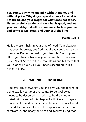**Yes, come, buy wine and milk without money and without price. Why do you spend money for what is not bread, and your wages for what does not satisfy? Listen carefully to Me, and eat what is good, and let your soul delight itself in abundance. Incline your ear, and come to Me. Hear, and your soul shall live.**

## **—Isaiah 55:1-3**

He is a present help in your time of need. Your situation may seem hopeless, but God has already designed a way of escape. Do not get lost in your trouble. "Look up and lift up your heads, because your redemption draws near" (Luke 21:28). Speak to those mountains and tell them that your God will supply all your needs according to His riches in glory.

#### **YOU WILL NOT BE OVERCOME**

Problems can overwhelm you and give you the feeling of being swallowed up or overcome. To be swallowed means to be devoured, to perish, to be drowned or buried. At the end of this chapter I will give you prayers to reverse this and cause your problems to be swallowed instead. Demons are likened to serpents; all serpents are carnivorous, and nearly all seize and swallow living food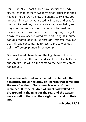(Jer. 51:34, NIV). Most snakes have specialized body structures that let them swallow things larger than their heads or necks. Don't allow the enemy to swallow your life, your finances, or your destiny. Rise up and pray for the Lord to swallow, consume, devour, overwhelm, and bury your problems instead. Synonyms for swallow include deplete, take back, exhaust, bury, engross, get down, swallow, accept, withdraw, finish, engulf, inhume, eat up, entomb, absorb, run through, immerse, swallow up, sink, eat, consume, lay to rest, soak up, wipe out, polish off, steep, plunge, inter, use up.

God swallowed Pharaoh and the Egyptians in the Red Sea. God opened the earth and swallowed Korah, Dathan, and Abiram. He will do the same to the evil that comes against you.

**The waters returned and covered the chariots, the horsemen, and all the army of Pharaoh that came into the sea after them. Not so much as one of them remained. But the children of Israel had walked on dry ground in the midst of the sea, and the waters were a wall to them on their right hand and on their left.**

**—Exodus 14:28**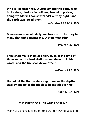**Who is like unto thee, O Lord, among the gods? who is like thee, glorious in holiness, fearful in praises, doing wonders? Thou stretchedst out thy right hand, the earth swallowed them.**

**—Exodus 15:11-12, KJV**

**Mine enemies would daily swallow me up: for they be many that fight against me, O thou most High.**

**—Psalm 56:2, KJV**

**Thou shalt make them as a fiery oven in the time of thine anger: the Lord shall swallow them up in his wrath, and the fire shall devour them.**

**—Psalm 21:9, KJV**

**Do not let the floodwaters engulf me or the depths swallow me up or the pit close its mouth over me.**

**—Psalm 69:15, NIV**

### **THE CURSE OF LUCK AND FORTUNE**

Many of us have latched on to a worldly way of speaking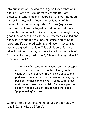into our situations, saying this is good luck or that was bad luck. I am not lucky or merely fortunate. I am blessed. Fortunate means "favored by or involving good luck or fortune; lucky. Auspicious or favorable." It is derived from the pagan goddess Fortuna (equivalent to the Greek goddess Tyche)—the goddess of fortune and personification of luck in Roman religion. She might bring good luck or bad; she could be represented as veiled and blind, as in modern depictions of justice, and came to represent life's unpredictability and inconsistence. She was also a goddess of fate. This definition of fortune takes it further: "chance, luck as a force in human affairs"; "lot, good fortune, misfortune"; "chance, fate, good luck"; or "chance, luck."

> The Wheel of Fortune, or Rota Fortunae, is a concept in medieval and ancient philosophy referring to the capricious nature of Fate. The wheel belongs to the goddess Fortuna, who spins it at random, changing the positions of those on the wheel—some suffer great misfortune, others gain windfalls. Fortune appears on all paintings as a woman, sometimes blindfolded, "puppeteering" a wheel.

Getting into the understanding of luck and fortune, we read in Isaiah 65:11-12 (amp):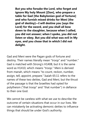**But you who forsake the Lord, who forget and ignore My holy Mount [Zion], who prepare a table for Gad [the Babylonian god of fortune] and who furnish mixed drinks for Meni [the god of destiny]—I will destine you [says the Lord] for the sword, and you shall all bow down to the slaughter, because when I called, you did not answer; when I spoke, you did not listen or obey. But you did what was evil in My eyes, and you chose that in which I did not delight.**

Gad and Meni were the Pagan gods of fortune and destiny. Their names literally mean "troop" and "number." Gad is matched with Strong's H1408, but it is the same word as H1410, which means "troop." Meni is derived from manah, which means "to count, reckon, number, assign, tell, appoint, prepare." Isaiah 65:11 refers to the names of these two deities, Gad and Meni, but the thrust of the passage is that the Israelites had opted for polytheism ("that troop" and "that number") in defiance to their one God.

We cannot be careless with what we use to describe the outcome of certain situations that occur in our lives. We can mistakenly be activating demonic deities to influence things that should be under God's authority.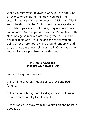When you turn your life over to God, you are not living by chance or the luck of the draw. You are living according to His divine plan. Jeremiah 29:11 says, "For I know the thoughts that I think toward you, says the Lord, thoughts of peace and not of evil, to give you a future and a hope." And the psalmist wrote in Psalm 37:23: "The steps of a good man are ordered by the Lord, and He delights in his way." Your life and the things you are going through are not spinning around randomly, and they are not out of control if you are in Christ. God is in control. Let your problems know this truth.

# **PRAYERS AGAINST CURSES AND BAD LUCK**

I am not lucky; I am blessed.

In the name of Jesus, I rebuke all bad luck and bad fortune.

In the name of Jesus, I rebuke all gods and goddesses of fortune that would try to rule my life.

I repent and turn away from all superstition and belief in good luck.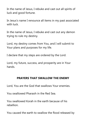In the name of Jesus, I rebuke and cast out all spirits of luck and good fortune.

In Jesus's name I renounce all items in my past associated with luck.

In the name of Jesus, I rebuke and cast out any demon trying to rule my destiny.

Lord, my destiny comes from You, and I will submit to Your plans and purposes for my life.

I declare that my steps are ordered by the Lord.

Lord, my future, success, and prosperity are in Your hands.

## **PRAYERS THAT SWALLOW THE ENEMY**

Lord, You are the God that swallows Your enemies.

You swallowed Pharaoh in the Red Sea.

You swallowed Korah in the earth because of his rebellion.

You caused the earth to swallow the flood released by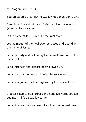the dragon (Rev. 12:16).

You prepared a great fish to swallow up Jonah (Jon. 1:17).

Stretch out Your right hand, O God, and let the enemy (spiritual) be swallowed up.

In the name of Jesus, I rebuke the swallower.

Let the mouth of the swallower be closed and bound, in the name of Jesus.

Let all poverty and lack in my life be swallowed up, in the name of Jesus.

Let all sickness and disease be swallowed up.

Let all discouragement and defeat be swallowed up.

Let all assignments of hell against my life be swallowed up.

In Jesus's name, let all curses and negative words spoken against my life be swallowed up.

Let all Pharaohs who attempt to follow me be swallowed up.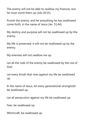The enemy will not be able to swallow my finances, but he must vomit them up (Job 20:15).

Punish the enemy, and let everything he has swallowed come forth, in the name of Jesus (Jer. 51:44).

My destiny and purpose will not be swallowed up by the enemy.

My life is preserved; it will not be swallowed up by the enemy.

My enemies will not swallow me up.

Let all the rods of the enemy be swallowed by the rod of God.

Let every Korah that rises against my life be swallowed up.

In the name of Jesus, let every generational stronghold be swallowed up.

Let all persecution against my life be swallowed up.

Fear, be swallowed up.

Witchcraft, be swallowed up.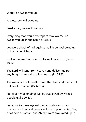Worry, be swallowed up.

Anxiety, be swallowed up.

Frustration, be swallowed up.

Everything that would attempt to swallow me, be swallowed up, in the name of Jesus.

Let every attack of hell against my life be swallowed up, in the name of Jesus.

I will not allow foolish words to swallow me up (Eccles. 10:12).

The Lord will send from heaven and deliver me from anything that would swallow me up (Ps. 57:3).

The water will not overflow me. The deep and the pit will not swallow me up (Ps. 69:15).

None of my belongings will be swallowed by wicked people (Luke 20:47).

Let all wickedness against me be swallowed up as Pharaoh and his host were swallowed up in the Red Sea, or as Korah, Dathan, and Abiram were swallowed up in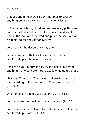the earth.

I rebuke and bind every serpent that tries to swallow anything belonging to me, in the name of Jesus.

In the name of Jesus, I bind and rebuke every python and constrictor that would attempt to squeeze and swallow. I break the jaws of the wicked and pluck the spoil out of his teeth, so that he cannot swallow.

Lord, rebuke the devourer for my sake.

Let any problems that would overwhelm me be swallowed up, in the name of Jesus.

Send forth your mercy and truth, and deliver me from anything that would attempt to swallow me up (Ps. 57:3).

Hear me, O Lord; for Your lovingkindness is good: turn to me according to the multitude of Your tender mercies (Ps. 69:16).

What time I am afraid, I will trust in You (Ps. 56:3).

Let not the robber swallow up my substance (Job 5:5).

Lord, You are a God of wonders; let the powers of hell be swallowed up (Exod. 15:11-12).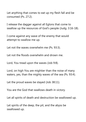Let anything that comes to eat up my flesh fall and be consumed (Ps. 27:2).

I release the dagger against all Eglons that come to swallow up the resources of God's people (Judg. 3:16-18).

I come against any wave of the enemy that would attempt to swallow me up.

Let not the waves overwhelm me (Ps. 93:3).

Let not the floods overwhelm and drown me.

Lord, You tread upon the waves (Job 9:8).

Lord, on high You are mightier than the noise of many waters, yes, than the mighty waves of the sea (Ps. 93:4).

Let the proud waves be stayed (Job 38:11).

You are the God that swallows death in victory.

Let all spirits of death and destruction be swallowed up.

Let spirits of the deep, the pit, and the abyss be swallowed up.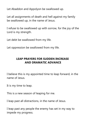Let Abaddon and Appolyon be swallowed up.

Let all assignments of death and hell against my family be swallowed up, in the name of Jesus.

I refuse to be swallowed up with sorrow, for the joy of the Lord is my strength.

Let debt be swallowed from my life.

Let oppression be swallowed from my life.

# **LEAP PRAYERS FOR SUDDEN INCREASE AND DRAMATIC ADVANCE**

I believe this is my appointed time to leap forward, in the name of Jesus.

It is my time to leap.

This is a new season of leaping for me.

I leap past all distractions, in the name of Jesus.

I leap past any people the enemy has set in my way to impede my progress.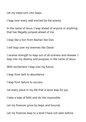Let my steps turn into leaps.

I leap over every wall erected by the enemy.

In the name of Jesus, I leap ahead of anyone or anything that has illegally jumped ahead of me.

I leap like a lion from Bashan like Dan.

I will leap over my enemies like David.

I receive strength to leap out of all sickness and disease. I leap into my destiny and purpose, in the name of Jesus.

With excitement I leap into my future.

I leap from lack to abundance.

I leap from failure to success.

Let every place in my life that is lame leap for joy.

I take a leap of faith and do the impossible.

Let my finances grow by leaps and bounds.

Let my finances leap to a level I have not seen before.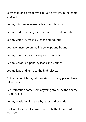Let wealth and prosperity leap upon my life, in the name of Jesus.

Let my wisdom increase by leaps and bounds.

Let my understanding increase by leaps and bounds.

Let my vision increase by leaps and bounds.

Let favor increase on my life by leaps and bounds.

Let my ministry grow by leaps and bounds.

Let my borders expand by leaps and bounds.

Let me leap and jump to the high places.

In the name of Jesus, let me catch up in any place I have fallen behind.

Let restoration come from anything stolen by the enemy from my life.

Let my revelation increase by leaps and bounds.

I will not be afraid to take a leap of faith at the word of the Lord.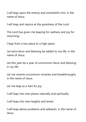I will leap upon the enemy and overwhelm him, in the name of Jesus.

I will leap and rejoice at the goodness of the Lord.

The Lord has given me leaping for sadness and joy for mourning.

I leap from a low place to a high place.

Let extra favor and blessing be added to my life, in the name of Jesus.

Let this year be a year of uncommon favor and blessing in my life.

Let me receive uncommon miracles and breakthroughs, in the name of Jesus.

Let me leap as a hart for joy.

I will leap into new places naturally and spiritually.

I will leap into new heights and levels.

I will leap above problems and setbacks, in the name of Jesus.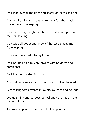I will leap over all the traps and snares of the wicked one.

I break all chains and weights from my feet that would prevent me from leaping.

I lay aside every weight and burden that would prevent me from leaping.

I lay aside all doubt and unbelief that would keep me from leaping.

I leap from my past into my future.

I will not be afraid to leap forward with boldness and confidence.

I will leap for my God is with me.

My God encourages me and causes me to leap forward.

Let the kingdom advance in my city by leaps and bounds.

Let my timing and purpose be realigned this year, in the name of Jesus.

The way is opened for me, and I will leap into it.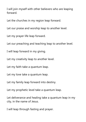I will join myself with other believers who are leaping forward.

Let the churches in my region leap forward.

Let our praise and worship leap to another level.

Let my prayer life leap forward.

Let our preaching and teaching leap to another level.

I will leap forward in my giving.

Let my creativity leap to another level.

Let my faith take a quantum leap.

Let my love take a quantum leap.

Let my family leap forward into destiny.

Let my prophetic level take a quantum leap.

Let deliverance and healing take a quantum leap in my city, in the name of Jesus.

I will leap through fasting and prayer.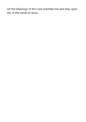Let the blessings of the Lord overtake me and leap upon me, in the name of Jesus.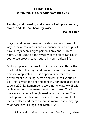# **CHAPTER 6 MIDNIGHT AND MIDDAY PRAYER**

**Evening, and morning and at noon I will pray, and cry aloud, and He shall hear my voice.**

**—Psalm 55:17**

Praying at different times of the day can be a powerful way to move mountains and experience breakthroughs. I have always been a night person. I pray and study at night. Understanding the mystery of the night can cause you to see great breakthroughs in your spiritual life.

Midnight prayer is a time for spiritual warfare. This is the third watch of the night and one of the most important times to keep watch. This is a special time for divine government overruling human decrees! (See Exodus 12- 14.) This is when the deep sleep falls upon men according to Acts 20:7-12. Remember, according to Matthew 13:25, while men slept, the enemy went to sow tares. This is therefore a period of heightened satanic activities. The devil operates at this time because this is the time that men are sleep and there are not so many people praying to oppose him (1 Kings 3:20; Matt. 13:25).

Night is also a time of anguish and fear for many, when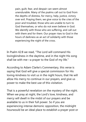pain, guilt, fear, and despair can seem almost unendurable. Many of the psalms call out to God from the depths of distress, for mercy, help, justice, victory over evil. Praying them, we give voice to the cries of the poor and troubled, those who are unable to turn to God themselves, or who do not even believe in God. We identify with those who are suffering, and call out with them and for them. Our prayer rises to God in the hours of darkness as an act of solidarity with those experiencing the night of the cross.

In Psalm 42:8 we read, "The Lord will command His lovingkindness in the daytime, and in the night His song shall be with me—a prayer to the God of my life."

According to Adam Clarke's Commentary, this verse is saying that God will give a special commission for His loving-kindness to visit us in the night hours, that He will allow His mercy to continue in our prayers, and give us power to make the best use of this visitation.

That is a powerful revelation on the mystery of the night. When we pray at night, the Lord's love, kindness, and mercy will dwell in the midst of our prayers and be available to us in their full power. So if you are experiencing intense demonic opposition, the midnight hourwould be an ideal place to establish a prayer post or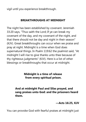vigil until you experience breakthrough.

### **BREAKTHROUGHS AT MIDNIGHT**

The night has been established by covenant. Jeremiah 33:20 says, "Thus saith the Lord; If ye can break my covenant of the day, and my covenant of the night, and that there should not be day and night in their season" (KJV). Great breakthroughs can occur when we praise and pray at night. Midnight is a time when God does supernatural things. In Psalm 119:62 the psalmist said, "At midnight I will rise to give thanks unto thee because of thy righteous judgments" (KJV). Here is a list of other blessings or breakthroughs that occur at midnight.

## **Midnight is a time of release from every spiritual prison.**

## **And at midnight Paul and Silas prayed, and sang praises unto God: and the prisoners heard them.**

**—Acts 16:25, KJV**

You can provoke God with fearful praises at midnight just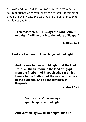as David and Paul did. It is a time of release from every spiritual prison; when you utilize the mystery of midnight prayers, it will initiate the earthquake of deliverance that would set you free.

## **Then Moses said, "Thus says the Lord, 'About midnight I will go out into the midst of Egypt.'"**

**—Exodus 11:4**

**God's deliverance of Israel began at midnight.**

**And it came to pass at midnight that the Lord struck all the firstborn in the land of Egypt, from the firstborn of Pharaoh who sat on his throne to the firstborn of the captive who was in the dungeon, and all the firstborn of livestock.**

**—Exodus 12:29**

**Destruction of the enemy's gate happens at midnight.**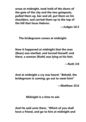**arose at midnight, took hold of the doors of the gate of the city and the two gateposts, pulled them up, bar and all, put them on his shoulders, and carried them up to the top of the hill that faces Hebron.**

**—Judges 16:3**

**The bridegroom comes at midnight.**

**Now it happened at midnight that the man [Boaz] was startled, and turned himself: and there, a woman [Ruth] was lying at his feet.**

**—Ruth 3:8**

**And at midnight a cry was heard: "Behold, the bridegroom is coming; go out to meet him!"**

**—Matthew 25:6**

**Midnight is a time to ask.**

**And He said unto them, "Which of you shall have a friend, and go to him at midnight and**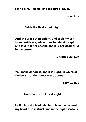**say to him, 'Friend, lend me three loaves."'**

**—Luke 11:5**

### **Catch the thief at midnight.**

**And she arose at midnight, and took my son from beside me, while thine handmaid slept, and laid it in her bosom, and laid her dead child in my bosom.**

**—1 Kings 3:20, KJV**

**You make darkness, and it is night, in which all the beasts of the forest creep about.**

**—Psalm 104:20**

**God can instruct us at night.**

**I will bless the Lord who has given me counsel: my heart also instructs me in the night seasons.**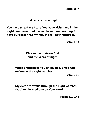**—Psalm 16:7**

#### **God can visit us at night.**

**You have tested my heart; You have visited me in the night; You have tried me and have found nothing; I have purposed that my mouth shall not transgress.**

**—Psalm 17:3**

## **We can meditate on God and the Word at night.**

**When I remember You on my bed, I meditate on You in the night watches.**

**—Psalm 63:6**

**My eyes are awake through the night watches, that I might meditate on Your word.**

**—Psalm 119:148**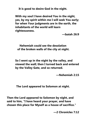**It is good to desire God in the night.**

**With my soul I have desired You in the night, yes, by my spirit within me I will seek You early; for when Your judgments are in the earth, the inhabitants of the world will learn righteousness.**

**—Isaiah 26:9**

**Nehemiah could see the desolation of the broken walls of the city at night.**

**So I went up in the night by the valley, and viewed the wall; then I turned back and entered by the Valley Gate, and so returned.**

**—Nehemiah 2:15**

**The Lord appeared to Solomon at night.**

**Then the Lord appeared to Solomon by night, and said to him, "I have heard your prayer, and have chosen this place for Myself as a house of sacrifice."**

**—2 Chronicles 7:12**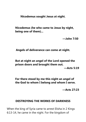**Nicodemus sought Jesus at night.**

**Nicodemus (he who came to Jesus by night, being one of them)...**

**—John 7:50** 

**Angels of deliverance can come at night.**

**But at night an angel of the Lord opened the prison doors and brought them out. —Acts 5:19**

**For there stood by me this night an angel of the God to whom I belong and whom I serve.**

**—Acts 27:23**

#### **DESTROYING THE WORKS OF DARKNESS**

When the king of Syria came to arrest Elisha in 2 Kings 6:13-14, he came in the night. For the kingdom of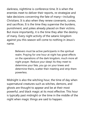darkness, nighttime is conference time. It is when the enemies meet to deliver their reports, re-strategize and take decisions concerning the fate of many—including Christians. It is also when they renew covenants, curses, and sacrifices. It is the time they supervise the burdens, punishment, and yokes already placed on their victims. But more importantly, it is the time they alter the destiny of many. Every night activity of the satanic kingdom against you this season will come to nothing in Jesus's name.

> Believers must be active participants in the spiritual realm. Praying for one hour at night has great effects on the operations of the dark kingdom, much more all night prayer. Reduce your sleep! As they meet to determine your fate, you go on your knees and determine theirs, scatter their meeting and strip them powerless.

Midnight is also the witching hour, the time of day when supernatural creatures such as witches, demons, and ghosts are thought to appear and be at their most powerful, and black magic at its most effective. This hour is typically past midnight or the time in the middle of the night when magic things are said to happen.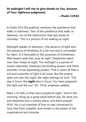#### **At midnight I will rise to give thanks to You, because of Your righteous judgments.**

**—Psalm 119:62**

In Psalm 91:6 the psalmist mentions the pestilence that walks in darkness: "Nor of the pestilence that walks in darkness, nor of the destruction that lays waste at noonday." This is a picture of evil walking at night.

Midnight speaks of darkness—the absence of light and the presence of blindness. It is for rest and is unsuitable for labor. It is favorable to the purposes of wickedness. Wild beasts seek their prey at night. Shepherds watch over their sheep at night. The midnight is a period of severe calamities. Darkness has binding powers and limits activities. It has separating powers. That is when all that is evil and unworthy of light is let loose. But the enemy does not own the night; the night belongs to God: "The day is Yours, the **night** also is Yours; You have prepared the light and the sun" (Ps. 74:16, emphasis added).

Mark 1:35 tells us that Jesus prayed at night: "And in the morning, rising up a great while before day, he went out, and departed into a solitary place, and there prayed" (KJV). He is our example of how to stay connected to God, free from unbelief, and remain in the power of the supernatural and miracles.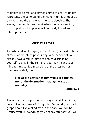Midnight is a great and strategic time to pray. Midnight represents the darkness of the night. Night is symbolic of darkness and the time when men are sleeping. The enemy likes to plan and work when men are sleeping, so rising up at night in prayer will definitely thwart and interrupt his plans.

## **MIDDAY PRAYER**

The whole idea of praying at 12:00 p.m. (midday) is that it allows God to interrupt your day. Whether or not you already have a regular time of prayer, disciplining yourself to pray in the center of your day means your mind returns to God regardless of the pressures or busyness of daily life.

## **Nor of the pestilence that walks in darkness, nor of the destruction that lays waste at noonday.**

**—Psalm 91:6**

There is also an opportunity to pray against the midday curse. Deuteronomy 28:29 says that "at midday you will grope about like a blind man in the dark. You will be unsuccessful in everything you do; day after day you will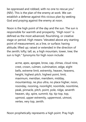be oppressed and robbed, with no one to rescue you" (NIV). This is the plan of the enemy at work. We can establish a defense against this vicious plan by seeking God and praying against the enemy at noon.

Noon is the high point of the day and the sun. The sun is responsible for warmth and prosperity. "High noon" is defined as the most advanced, flourishing, or creative stage or period. High means "elevated above any starting point of measurement, as a line, or surface; having altitude; lifted up; raised or extended in the direction of the zenith; lofty; tall; as, a high mountain, tower, tree; the sun is high." Synonyms for high noon include:

> acme, apex, apogee, brow, cap, climax, cloud nine, crest, crown, culmen, culmination, edge, eight bells, extreme limit, extremity, heaven, heavens, height, highest pitch, highest point, limit, maximum, meridian, meridiem, midday, mountaintop, ne plus ultra, no place higher, noon, noonday, nooning, noonlight, noontide, noontime, peak, pinnacle, pitch, point, pole, ridge, seventh heaven, sky, spire, summit, tip, tip-top, top, upmost, upper extremity, uppermost, utmost, vertex, very top, zenith.

Noon prophetically represents a high point. Pray high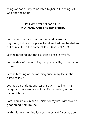things at noon. Pray to be lifted higher in the things of God and the Spirit.

## **PRAYERS TO RELEASE THE MORNING AND THE DAYSPRING**

Lord, You command the morning and cause the dayspring to know his place. Let all wickedness be shaken out of my life, in the name of Jesus (Job 38:12-13).

Let the morning and the dayspring arise in my life.

Let the dew of the morning be upon my life, in the name of Jesus.

Let the blessing of the morning arise in my life, in the name of Jesus.

Let the Sun of righteousness arise with healing in his wings, and let every area of my life be healed, in the name of Jesus.

Lord, You are a sun and a shield for my life. Withhold no good thing from my life.

With this new morning let new mercy and favor be upon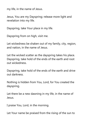my life, in the name of Jesus.

Jesus, You are my Dayspring; release more light and revelation into my life.

Dayspring, take Your place in my life.

Dayspring from on high, visit me.

Let wickedness be shaken out of my family, city, region, and nation, in the name of Jesus.

Let the wicked scatter as the dayspring takes his place. Dayspring, take hold of the ends of the earth and root out wickedness.

Dayspring, take hold of the ends of the earth and drive out darkness.

Nothing is hidden from You, Lord, for You created the dayspring.

Let there be a new dawning in my life, in the name of Jesus.

I praise You, Lord, in the morning.

Let Your name be praised from the rising of the sun to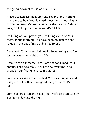the going down of the same (Ps. 113:3).

Prayers to Release the Mercy and Favor of the Morning Cause me to hear Your lovingkindness in the morning; for in You do I trust. Cause me to know the way that I should walk, for I lift up my soul to You (Ps. 143:8).

I will sing of Your power; yes, I will sing aloud of Your mercy in the morning. You have been my defense and refuge in the day of my trouble (Ps. 59:16).

Show forth Your lovingkindness in the morning and Your faithfulness every night (Ps. 92:2).

Because of Your mercy, Lord, I am not consumed. Your compassions never fail. They are new every morning. Great is Your faithfulness (Lam. 3:22-23).

Lord, You are my sun and shield. You give me grace and glory and will withhold no good thing from me (Ps. 84:11).

Lord, You are a sun and shield; let my life be protected by You in the day and the night.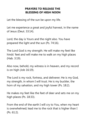## **PRAYERS TO RELEASE THE BLESSING OF HIGH NOON**

Let the blessing of the sun be upon my life.

Let me experience a great and joyful harvest, in the name of Jesus (Deut. 33:14).

Lord, the day is Yours and the night also. You have prepared the light and the sun (Ps. 74:16).

The Lord God is my strength. He will make my feet like hinds' feet and will make me to walk on my high places (Hab. 3:19).

Also now, behold, my witness is in heaven, and my record is on high (Job 16:19).

The Lord is my rock, fortress, and deliverer; He is my God, my strength, in whom I will trust. He is my buckler, the horn of my salvation, and my high tower (Ps. 18:2).

He makes my feet like the feet of deer and sets me on my high places (Ps. 18:33).

From the end of the earth I will cry to You, when my heart is overwhelmed; lead me to the rock that is higher than I (Ps. 61:2).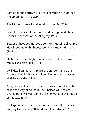I am poor and sorrowful; let Your salvation, O God, set me up on high (Ps. 69:29).

The Highest Himself shall establish me (Ps. 87:5).

I dwell in the secret place of the Most High and abide under the shadow of the Almighty (Ps. 91:1).

Because I have set my love upon Him, He will deliver me; He will set me on high because I have known His name (Ps. 91:14).

He has set me on high from affliction and makes my family like a flock (Ps. 107:41).

I will dwell on high; my place of defense shall be the fortress of rocks. Bread shall be given me, and my waters shall be sure (Isa. 33:16).

A highway will be there for me—a way—and it shall be called the way of holiness. The unclean will not pass over it, but I will walk along this highway and will not go astray (Isa. 35:8).

I will get up into the high mountain. I will lift my voice and say to the cities, "Behold your God" (Isa. 40:9).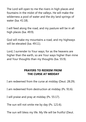The Lord will open to me the rivers in high places and fountains in the midst of the valleys. He will make the wilderness a pool of water and the dry land springs of water (Isa. 41:18).

I will feed along the road, and my pasture will be in all high places (Isa. 49:9).

God will make my mountains a road, and my highways will be elevated (Isa. 49:11).

Lord, I surrender to Your ways; for as the heavens are higher than the earth, so are Your ways higher than mine and Your thoughts than my thoughts (Isa. 55:9).

## **PRAYERS TO REDEEM FROM THE CURSE AT MIDDAY**

I am redeemed from the curse at midday (Deut. 28:29).

I am redeemed from destruction at midday (Ps. 91:6).

I will praise and pray at midday (Ps. 55:17).

The sun will not smite me by day (Ps. 121:6).

The sun will bless my life. My life will be fruitful (Deut.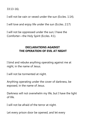33:13-16).

I will not be vain or vexed under the sun (Eccles. 1:14).

I will love and enjoy life under the sun (Eccles. 2:17)

I will not be oppressed under the sun; I have the Comforter—the Holy Spirit (Eccles. 4:1).

#### **DECLARATIONS AGAINST THE OPERATION OF EVIL AT NIGHT**

I bind and rebuke anything operating against me at night, in the name of Jesus.

I will not be tormented at night.

Anything operating under the cover of darkness, be exposed, in the name of Jesus.

Darkness will not overwhelm my life, but I have the light of life.

I will not be afraid of the terror at night.

Let every prison door be opened, and let every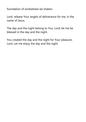foundation of wickedness be shaken.

Lord, release Your angels of deliverance for me, in the name of Jesus.

The day and the night belong to You, Lord; let me be blessed in the day and the night.

You created the day and the night for Your pleasure, Lord. Let me enjoy the day and the night.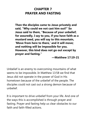## **CHAPTER 7 PRAYER AND FASTING**

**Then the disciples came to Jesus privately and said, "Why could we not cast him out?" So Jesus said to them, "Because of your unbelief; for assuredly, I say to you, if you have faith as a mustard seed, you will say to this mountain, 'Move from here to there,' and it will move; and nothing will be impossible for you. However, this kind does not go out except by prayer and fasting."**

**—Matthew 17:19-21**

Unbelief is an enemy to overcoming mountains of what seems to be impossible. In Matthew 13:58 we find that Jesus did not operate in the power of God in His hometown because of the unbelief of the people. The disciples could not cast out a strong demon because of unbelief.

It is important to drive unbelief from your life. And one of the ways this is accomplished is through prayer and fasting. Prayer and fasting help us clear obstacles to our faith and faith-filled actions.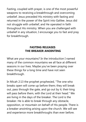Fasting, coupled with prayer, is one of the most powerful weapons to receiving a breakthrough and overcoming unbelief. Jesus preceded His ministry with fasting and returned in the power of the Spirit into Galilee. Jesus did not struggle with unbelief, and He operated in faith throughout His ministry. When you are challenged with unbelief in any situation, I encourage you to fast and pray for breakthrough.

## **FASTING RELEASES THE BREAKER ANOINTING**

What are your mountains? In the introduction I named many of the common mountains we all face at different seasons in our lives. Maybe you've been praying over these things for a long time and have not seen breakthrough.

In Micah 2:13 the prophet prophesied, "The one who breaks open will come up before them; they will break out, pass through the gate, and go out by it; their king will pass before them, with the Lord at their head." We are living in the days of the breaker. The Lord is the breaker. He is able to break through any obstacle, opposition, or mountain on behalf of His people. There is a breaker anointing arising upon the church. We will see and experience more breakthroughs than ever before.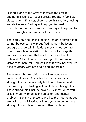Fasting is one of the ways to increase the breaker anointing. Fasting will cause breakthroughs in families, cities, nations, finances, church growth, salvation, healing, and deliverance. Fasting will help you to break through the toughest situations. Fasting will help you to break through all opposition of the enemy.

There are some spirits in a person, region, or nation that cannot be overcome without fasting. Many believers struggle with certain limitations they cannot seem to break through. A revelation of fasting will change this and result in victories that would not be ordinarily obtained. A life of consistent fasting will cause many victories to manifest. God's will is that every believer live a life of victory with nothing being impossible.

There are stubborn spirits that will respond only to fasting and prayer. These tend to be generational strongholds that tenaciously hold on to families and nations for years. Fasting will break these strongholds. These strongholds include poverty, sickness, witchcraft, sexual impurity, pride, fear, confusion, and marital problems. Do any of these sound like the mountains you are facing today? Fasting will help you overcome these strongholds and break free from their limitations.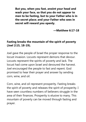**But you, when you fast, anoint your head and wash your face, so that you do not appear to men to be fasting, but to your Father who is in the secret place; and your Father who sees in secret will reward you openly.**

**—Matthew 6:17-18**

#### **Fasting breaks the mountain of the spirit of poverty (Joel 2:15, 18-19).**

Joel gave the people of Israel the proper response to the locust invasion. Locusts represent demons that devour. Locusts represent the spirits of poverty and lack. The locust had come upon Israel and devoured the harvest. Joel encouraged the people to fast and repent. God promised to hear their prayer and answer by sending corn, wine, and oil.

Corn, wine, and oil represent prosperity. Fasting breaks the spirit of poverty and releases the spirit of prosperity. I have seen countless numbers of believers struggle in the area of their finances. Prosperity is elusive to many. This mountain of poverty can be moved through fasting and prayer.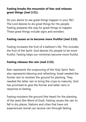## **Fasting breaks the mountain of fear and releases great things (Joel 2:21).**

Do you desire to see great things happen in your life? The Lord desires to do great things for His people. Fasting prepares the way for great things to happen. These great things include signs and wonders.

#### **Fasting causes us to become more fruitful (Joel 2:22).**

Fasting increases the fruit of a believer's life. This includes the fruit of the Spirit. God desires His people to be more fruitful. Fasting helps our ministries become more fruitful.

#### **Fasting releases the rain (Joel 2:23).**

Rain represents the outpouring of the Holy Spirit. Rain also represents blessing and refreshing. Israel needed the former rain to moisten the ground for planting. They needed the latter rain to bring the crops to maturity. God has promised to give the former and latter rains in response to fasting.

Fasting moistens the ground (the heart) for the planting of the seed (the Word of God). Fasting causes the rain to fall in dry places. Nations and cities that have not experienced revival can receive rain through fasting.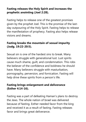## **Fasting releases the Holy Spirit and increases the prophetic anointing (Joel 2:28).**

Fasting helps to release one of the greatest promises given by the prophet Joel. This is the promise of the lastday outpouring of the Holy Spirit. Fasting helps to release the manifestation of prophecy. Fasting also helps release visions and dreams.

## **Fasting breaks the mountain of sexual impurity (Judg. 19:22-20:5).**

Sexual sin is one of the hardest sins to break. Many believers struggle with generational lust. Lust spirits cause much shame, guilt, and condemnation. This robs the believer of the confidence and boldness he should have. Many believers struggle with masturbation, pornography, perversion, and fornication. Fasting will help drive these spirits from a person's life.

## **Fasting brings enlargement and deliverance (Esther 4:14-16).**

Fasting was a part of defeating Haman's plans to destroy the Jews. The whole nation of Israel was delivered because of fasting. Esther needed favor from the king and received it as a result of fasting. Fasting releases favor and brings great deliverance.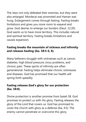The Jews not only defeated their enemies, but they were also enlarged. Mordecai was promoted and Haman was hung. Enlargement comes through fasting. Fasting breaks limitations and gives you more room to expand and grow. God desires to enlarge our borders (Deut. 12:20). God wants us to have more territory. This includes natural and spiritual territory. Fasting breaks limitations and causes expansion.

## **Fasting breaks the mountain of sickness and infirmity and releases healing (Isa. 58:5-6, 8).**

Many believers struggle with sicknesses such as cancer, diabetes, high blood pressure, sinus problems, and chronic pain. These spirits of infirmity are often generational. Fasting helps eliminate chronic sicknesses and diseases. God has promised that our health will spring forth speedily.

## **Fasting releases God's glory for our protection (Isa. 58:8).**

Divine protection is another promise from Isaiah 58. God promises to protect us with His glory. Fasting releases the glory of the Lord that covers us. God has promised to cover the church with glory as a defense (Isa. 4:5). The enemy cannot penetrate or overcome this glory.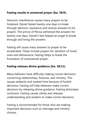## **Fasting results in answered prayer (Isa. 58:9).**

Demonic interference causes many prayers to be hindered. Daniel fasted twenty-one days to break through demonic resistance and receive answers to his prayers. The prince of Persia withstood the answers for twenty-one days. Daniel's fast helped an angel to break through and bring the answers.

Fasting will cause many answers to prayer to be accelerated. These include prayers for salvation of loved ones and deliverance. Fasting helps to break the frustration of unanswered prayer.

#### **Fasting releases divine guidance (Isa. 58:11).**

Many believers have difficulty making correct decisions concerning relationships, finances, and ministry. This causes setbacks and wasted time because of foolish decisions. Fasting will help believers make correct decisions by releasing divine guidance. Fasting eliminates confusion. Fasting causes clarity and releases understanding and wisdom to make correct decisions.

Fasting is recommended for those who are making important decisions such as marriage and ministry choices.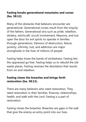## **Fasting breaks generational mountains and curses (Isa. 58:12).**

Many of the obstacles that believers encounter are generational. Generational curses result from the iniquity of the fathers. Generational sins such as pride, rebellion, idolatry, witchcraft, occult involvement, Masonry, and lust open the door for evil spirits to operate in families through generations. Demons of destruction, failure, poverty, infirmity, lust, and addiction are major strongholds in the lives of millions of people.

Fasting helps loose the bands of wickedness. Fasting lets the oppressed go free. Fasting helps us to rebuild the old waste places. Fasting reverses the desolation that results from sin and rebellion.

## **Fasting closes the breaches and brings forth restoration (Isa. 58:12).**

There are many believers who need restoration. They need restoration in their families, finances, relationships, health, and walk with the Lord. Fasting is a part of restoration.

Fasting closes the breaches. Breaches are gaps in the wall that give the enemy an entry point into our lives.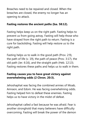Breaches need to be repaired and closed. When the breaches are closed, the enemy no longer has an opening to attack.

#### **Fasting restores the ancient paths (Isa. 58:12).**

Fasting helps keep us on the right path. Fasting helps to prevent us from going astray. Fasting will help those who have strayed from the right path to return. Fasting is a cure for backsliding. Fasting will help restore us to the right path.

Fasting helps us to walk in the good path (Prov. 2:9), the path of life (v. 19), the path of peace (Prov. 3:17), the old path (Jer. 6:16), and the straight path (Heb. 12:13). Fasting restores these paths and helps us to walk in them.

## **Fasting causes you to have great victory against overwhelming odds (2 Chron. 20:3).**

Jehoshaphat was facing the combined armies of Moab, Amraon, and Edom. He was facing overwhelming odds. Fasting helped him to defeat these enemies. Fasting helps us to have victory in the midst of defeat.

Jehoshaphat called a fast because he was afraid. Fear is another stronghold that many believers have difficulty overcoming. Fasting will break the power of the demon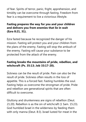of fear. Spirits of terror, panic, fright, apprehension, and timidity can be overcome through fasting. Freedom from fear is a requirement to live a victorious lifestyle.

## **Fasting prepares the way for you and your children and delivers you from enemies that lie in wait (Ezra 8:21, 31).**

Ezra fasted because he recognized the danger of his mission. Fasting will protect you and your children from the plans of the enemy. Fasting will stop the ambush of the enemy. Fasting will cause your substance to be protected from the attack of the enemy.

## **Fasting breaks the mountains of pride, rebellion, and witchcraft (Ps. 35:13; Job 33:17-20).**

Sickness can be the result of pride. Pain can also be the result of pride. Sickness often results in the loss of appetite. This is a forced fast. Fasting humbles the soul. Fasting helps us overcome the strongman of pride. Pride and rebellion are generational spirits that are often difficult to overcome.

Gluttony and drunkenness are signs of rebellion (Deut. 21:20). Rebellion is as the sin of witchcraft (1 Sam. 15:23). God humbled Israel in the wilderness by feeding them with only manna (Deut. 8:3). Israel lusted for meat in the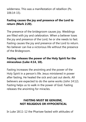wilderness. This was a manifestation of rebellion (Ps. 106:14-15).

## **Fasting causes the joy and presence of the Lord to return (Mark 2:20).**

The presence of the bridegroom causes joy. Weddings are filled with joy and celebration. When a believer loses the joy and presence of the Lord, he or she needs to fast. Fasting causes the joy and presence of the Lord to return. No believer can live a victorious life without the presence of the Bridegroom.

## **Fasting releases the power of the Holy Spirit for the miraculous (Luke 4:14, 18).**

Fasting increases the anointing and the power of the Holy Spirit in a person's life. Jesus ministered in power after fasting. He healed the sick and cast out devils. All believers are expected to do the same works (John 14:12). Fasting helps us to walk in the power of God. Fasting releases the anointing for miracles.

## **FASTING MUST BE GENUINE, NOT RELIGIOUS OR HYPOCRITICAL**

In Luke 18:11-12 the Pharisee fasted with attitudes of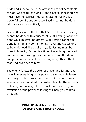pride and superiority. These attitudes are not acceptable to God. God requires humility and sincerity in fasting. We must have the correct motives in fasting. Fasting is a powerful tool if done correctly. Fasting cannot be done religiously or hypocritically.

Isaiah 58 describes the fast that God had chosen. Fasting cannot be done with amusement (v. 3). Fasting cannot be done while mistreating others (v. 3). Fasting cannot be done for strife and contention (v. 4). Fasting causes one to bow his head like a bulrush (v. 5). Fasting must be done in humility. Fasting is a time of searching the heart and repenting. Fasting must be done in an attitude of compassion for the lost and hurting (v. 7). This is the fast that God promises to bless.

The enemy knows the power of prayer and fasting, and he will do everything in his power to stop you. Believers who begin to fast can expect much spiritual resistance. You must be committed to a fasted lifestyle. The rewards of fasting far outweigh the obstacles of the enemy. A revelation of the power of fasting will help you to break through!

## **PRAYERS AGAINST STUBBORN DEMONS AND STRONGHOLDS**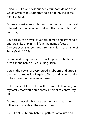I bind, rebuke, and cast out every stubborn demon that would attempt to stubbornly hold on to my life in the name of Jesus.

I come against every stubborn stronghold and command it to yield to the power of God and the name of Jesus (2 Sam. 5:7).

I put pressure on every stubborn demon and stronghold and break its grip in my life, in the name of Jesus. I uproot every stubborn root from my life, in the name of Jesus (Matt. 15:13).

I command every stubborn, ironlike yoke to shatter and break, in the name of Jesus (Judg. 1:19).

I break the power of every proud, stubborn, and arrogant demon that exalts itself against Christ, and I command it to be abased, in the name of Jesus.

In the name of Jesus, I break the power of all iniquity in my family that would stubbornly attempt to control my life.

I come against all obstinate demons, and break their influence in my life in the name of Jesus.

I rebuke all stubborn, habitual patterns of failure and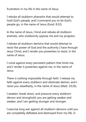frustration in my life in the name of Jesus.

I rebuke all stubborn pharaohs that would attempt to hold God's people, and I command you to let God's people go, in the name of Jesus (Exod. 8:32).

In the name of Jesus, I bind and rebuke all stubborn enemies, who stubbornly oppose me and my progress.

I rebuke all stubborn demons that would attempt to resist the power of God and the authority I have through Jesus Christ, and I render you powerless to resist, in the name of Jesus.

I come against every persistent pattern that limits me, and I render it powerless against me, in the name of Jesus.

There is nothing impossible through faith. I release my faith against every stubborn and obstinate demon, and I resist you steadfastly, in the name of Jesus (Matt. 19:26).

I weaken, break down, and pressure every stubborn demon and stronghold; you are getting weaker and weaker, and I am getting stronger and stronger.

I exercise long war against all stubborn demons until you are completely defeated and destroyed from my life, in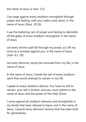the name of Jesus (2 Sam. 3:1).

I lay siege against every stubborn stronghold through prayer and fasting, until your walls come down, in the name of Jesus (Deut. 20:19).

I use the battering ram of prayer and fasting to demolish all the gates of every stubborn stronghold, in the name of Jesus.

Let every Jericho wall fall through my praise, as I lift my voice as a trumpet against you, in the name of Jesus (Josh. 6:1, 20).

Let every demonic stump be removed from my life, in the name of Jesus.

In the name of Jesus, I break the will of every stubborn spirit that would attempt to remain in my life.

I speak to every stubborn demon: You have no will to remain, your will is broken, and you must submit to the name of Jesus and the power of the Holy Ghost.

I come against all stubborn demons and strongholds in my family that have refused to leave, and in the name of Jesus, I assault every demonic fortress that has been built for generations.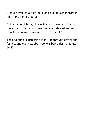I rebuke every stubborn mule and bull of Bashan from my life, in the name of Jesus.

In the name of Jesus, I break the will of every stubborn mule that comes against me. You are defeated and must bow to the name above all names (Ps. 22:12).

The anointing is increasing in my life through prayer and fasting, and every stubborn yoke is being destroyed (Isa. 10:27).